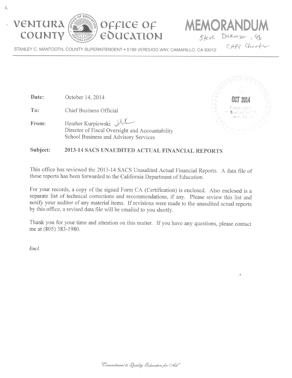$\mathbb{R}^2$ 



Date:



October 14, 2014

Dickinson Steve

STANLEY C. MANTOOTH, COUNTY SUPERINTENDENT . 5189 VERDUGO WAY, CAMARILLO, CA 93012

OFFICE OF

EOUCATION

CAPE Charte

ORAND

 $Ta:$ **Chief Business Official** Heather Kurpiewski JUL From: Director of Fiscal Oversight and Accountability School Business and Advisory Services



#### Subject: 2013-14 SACS UNAUDITED ACTUAL FINANCIAL REPORTS

This office has reviewed the 2013-14 SACS Unaudited Actual Financial Reports. A data file of these reports has been forwarded to the California Department of Education.

For your records, a copy of the signed Form CA (Certification) is enclosed. Also enclosed is a separate list of technical corrections and recommendations, if any. Please review this list and notify your auditor of any material items. If revisions were made to the unaudited actual reports by this office, a revised data file will be emailed to you shortly.

Thank you for your time and attention on this matter. If you have any questions, please contact me at (805) 383-1980.

Encl.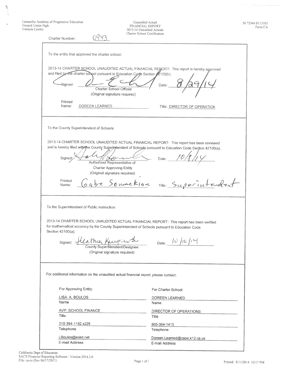Camarillo Academy of Progressive Education<br>Oxnard Union High<br>Ventura County

地方

 $\bar{\bar{z}}$ 

| Unaudited Actual             |
|------------------------------|
| FINANCIAL REPORT             |
| 2013-14 Unaudited Actuals    |
| Charter School Certification |

56 72546 0115105<br>Form CA

.<br>Television de la maria de la propia della

| Charter School Certification<br>Charter Number:                                                                                                                                                                                                                                                                                         |                                                 |
|-----------------------------------------------------------------------------------------------------------------------------------------------------------------------------------------------------------------------------------------------------------------------------------------------------------------------------------------|-------------------------------------------------|
| To the entity that approved the charter school:                                                                                                                                                                                                                                                                                         |                                                 |
| 2013-14 CHARTER SCHOOL UNAUDITED ACTUAL FINANCIAL REGORT: This report is hereby approved<br>and filed by the charter school pursuant to Education Code Section 2100(b).<br>Gigned:<br>Charter School Official<br>(Original signature required)<br>Printed<br>Name:<br>DOREEN LEARNED                                                    | Date:<br>Title: DIRECTOR OF OPERATION           |
| To the County Superintendent of Schools:                                                                                                                                                                                                                                                                                                |                                                 |
| 2013-14 CHARTER SCHOOL UNAUDITED ACTUAL FINANCIAL REPORT: This report has been reviewed<br>and is hereby filed with the County Superintendent of Schools pursuant to Education Code Section 42100(a).<br>Signed<br>Authorized Representative of<br><b>Charter Approving Entity</b><br>(Original signature required)<br>Printed<br>Name: | Date:<br>Sabe Souncklan Title: Superintendent   |
| To the Superintendent of Public Instruction:                                                                                                                                                                                                                                                                                            |                                                 |
| 2013-14 CHARTER SCHOOL UNAUDITED ACTUAL FINANCIAL REPORT: This report has been verified<br>for mathematical accuracy by the County Superintendent of Schools pursuant to Education Code<br>Section 42100(a).<br>signed: Heather Kuppers<br>County Superintendent/Designee<br>(Original signature required)                              | Date: $ 0 /10 $                                 |
| For additional information on the unaudited actual financial report, please contact:                                                                                                                                                                                                                                                    |                                                 |
| For Approving Entity:                                                                                                                                                                                                                                                                                                                   | For Charter School:                             |
| LISA A. BOULOS<br>Name                                                                                                                                                                                                                                                                                                                  | DOREEN LEARNED<br>Name                          |
| <b>AVP, SCHOOL FINANCE</b><br>Title                                                                                                                                                                                                                                                                                                     | DIRECTOR OF OPERATIONS<br>Title                 |
| 310-394-1152 x225<br>Telephone                                                                                                                                                                                                                                                                                                          | 805-384-1415<br>Telephone                       |
| LBoulos@exed.net<br>E-mail Address                                                                                                                                                                                                                                                                                                      | Doreen.Learned@cape.k12.ca.us<br>E-mail Address |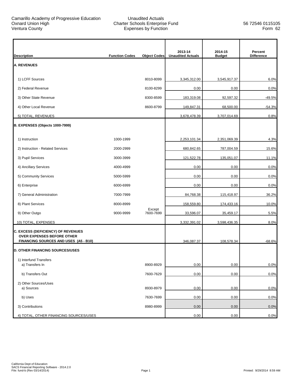ľ

| <b>Description</b>                                                         | <b>Function Codes</b> | <b>Object Codes</b> | 2013-14<br><b>Unaudited Actuals</b> | 2014-15<br><b>Budget</b> | Percent<br><b>Difference</b> |
|----------------------------------------------------------------------------|-----------------------|---------------------|-------------------------------------|--------------------------|------------------------------|
| <b>A. REVENUES</b>                                                         |                       |                     |                                     |                          |                              |
| 1) LCFF Sources                                                            |                       | 8010-8099           | 3,345,312.00                        | 3,545,917.37             | 6.0%                         |
| 2) Federal Revenue                                                         |                       | 8100-8299           | 0.00                                | 0.00                     | 0.0%                         |
|                                                                            |                       | 8300-8599           |                                     |                          |                              |
| 3) Other State Revenue                                                     |                       |                     | 183,319.08                          | 92,597.32                | $-49.5%$                     |
| 4) Other Local Revenue                                                     |                       | 8600-8799           | 149,847.31                          | 68,500.00                | $-54.3%$                     |
| 5) TOTAL, REVENUES                                                         |                       |                     | 3,678,478.39                        | 3,707,014.69             | 0.8%                         |
| B. EXPENSES (Objects 1000-7999)                                            |                       |                     |                                     |                          |                              |
| 1) Instruction                                                             | 1000-1999             |                     | 2,253,101.34                        | 2,351,069.39             | 4.3%                         |
| 2) Instruction - Related Services                                          | 2000-2999             |                     | 680,842.65                          | 787,004.59               | 15.6%                        |
| 3) Pupil Services                                                          | 3000-3999             |                     | 121,522.78                          | 135,051.07               | 11.1%                        |
| 4) Ancillary Services                                                      | 4000-4999             |                     | 0.00                                | 0.00                     | 0.0%                         |
| 5) Community Services                                                      | 5000-5999             |                     | 0.00                                | 0.00                     | 0.0%                         |
| 6) Enterprise                                                              | 6000-6999             |                     | 0.00                                | 0.00                     | 0.0%                         |
| 7) General Administration                                                  | 7000-7999             |                     | 84,768.38                           | 115,418.97               | 36.2%                        |
| 8) Plant Services                                                          | 8000-8999             |                     | 158,559.80                          | 174,433.16               | 10.0%                        |
| 9) Other Outgo                                                             | 9000-9999             | Except<br>7600-7699 | 33,596.07                           | 35,459.17                | 5.5%                         |
| 10) TOTAL, EXPENSES                                                        |                       |                     | 3,332,391.02                        | 3,598,436.35             | 8.0%                         |
| C. EXCESS (DEFICIENCY) OF REVENUES                                         |                       |                     |                                     |                          |                              |
| <b>OVER EXPENSES BEFORE OTHER</b><br>FINANCING SOURCES AND USES (A5 - B10) |                       |                     | 346,087.37                          | 108,578.34               | $-68.6%$                     |
| <b>D. OTHER FINANCING SOURCES/USES</b>                                     |                       |                     |                                     |                          |                              |
| 1) Interfund Transfers                                                     |                       |                     |                                     |                          |                              |
| a) Transfers In                                                            |                       | 8900-8929           | 0.00                                | 0.00                     | 0.0%                         |
| b) Transfers Out                                                           |                       | 7600-7629           | 0.00                                | 0.00                     | 0.0%                         |
| 2) Other Sources/Uses<br>a) Sources                                        |                       | 8930-8979           | 0.00                                | 0.00                     | 0.0%                         |
| b) Uses                                                                    |                       | 7630-7699           | 0.00                                | 0.00                     | 0.0%                         |
|                                                                            |                       |                     |                                     |                          |                              |
| 3) Contributions                                                           |                       | 8980-8999           | 0.00                                | 0.00                     | 0.0%                         |
| 4) TOTAL, OTHER FINANCING SOURCES/USES                                     |                       |                     | 0.00                                | 0.00                     | 0.0%                         |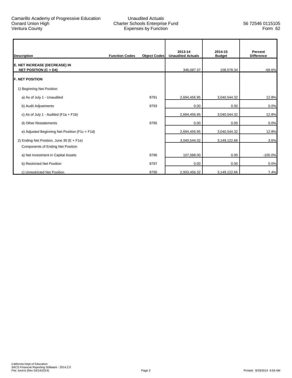ľ

| <b>Description</b>                                                                    | <b>Function Codes</b> | <b>Object Codes</b> | 2013-14<br><b>Unaudited Actuals</b> | 2014-15<br><b>Budget</b> | Percent<br><b>Difference</b> |
|---------------------------------------------------------------------------------------|-----------------------|---------------------|-------------------------------------|--------------------------|------------------------------|
| E. NET INCREASE (DECREASE) IN<br><b>NET POSITION (C + D4)</b>                         |                       |                     | 346,087.37                          | 108,578.34               | $-68.6%$                     |
| <b>IF. NET POSITION</b>                                                               |                       |                     |                                     |                          |                              |
| 1) Beginning Net Position                                                             |                       |                     |                                     |                          |                              |
| a) As of July 1 - Unaudited                                                           |                       | 9791                | 2,694,456.95                        | 3,040,544.32             | 12.8%                        |
| b) Audit Adjustments                                                                  |                       | 9793                | 0.00                                | 0.00                     | 0.0%                         |
| c) As of July 1 - Audited ( $F1a + F1b$ )                                             |                       |                     | 2,694,456.95                        | 3,040,544.32             | 12.8%                        |
| d) Other Restatements                                                                 |                       | 9795                | 0.00                                | 0.00                     | 0.0%                         |
| e) Adjusted Beginning Net Position (F1c + F1d)                                        |                       |                     | 2,694,456.95                        | 3,040,544.32             | 12.8%                        |
| 2) Ending Net Position, June 30 (E + F1e)<br><b>Components of Ending Net Position</b> |                       |                     | 3,040,544.32                        | 3,149,122.66             | 3.6%                         |
| a) Net Investment in Capital Assets                                                   |                       | 9796                | 107,088.00                          | 0.00                     | $-100.0%$                    |
| b) Restricted Net Position                                                            |                       | 9797                | 0.00                                | 0.00                     | 0.0%                         |
| c) Unrestricted Net Position                                                          |                       | 9790                | 2,933,456.32                        | 3,149,122.66             | 7.4%                         |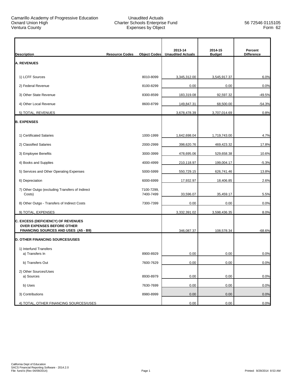$\mathbf{r}$ 

|                                                                         |                                              | 2013-14                  | 2014-15       | Percent           |
|-------------------------------------------------------------------------|----------------------------------------------|--------------------------|---------------|-------------------|
| <b>Description</b>                                                      | <b>Resource Codes</b><br><b>Object Codes</b> | <b>Unaudited Actuals</b> | <b>Budget</b> | <b>Difference</b> |
| <b>A. REVENUES</b>                                                      |                                              |                          |               |                   |
| 1) LCFF Sources                                                         | 8010-8099                                    | 3,345,312.00             | 3,545,917.37  | 6.0%              |
| 2) Federal Revenue                                                      | 8100-8299                                    | 0.00                     | 0.00          | 0.0%              |
| 3) Other State Revenue                                                  | 8300-8599                                    | 183,319.08               | 92,597.32     | $-49.5%$          |
| 4) Other Local Revenue                                                  | 8600-8799                                    | 149,847.31               | 68,500.00     | $-54.3%$          |
| 5) TOTAL, REVENUES                                                      |                                              | 3,678,478.39             | 3,707,014.69  | 0.8%              |
| <b>B. EXPENSES</b>                                                      |                                              |                          |               |                   |
| 1) Certificated Salaries                                                | 1000-1999                                    | 1,642,698.04             | 1,719,743.00  | 4.7%              |
| 2) Classified Salaries                                                  | 2000-2999                                    | 398,620.76               | 469,423.32    | 17.8%             |
| 3) Employee Benefits                                                    | 3000-3999                                    | 478,695.06               | 529,658.38    | 10.6%             |
| 4) Books and Supplies                                                   | 4000-4999                                    | 210,118.97               | 199,004.17    | $-5.3%$           |
| 5) Services and Other Operating Expenses                                | 5000-5999                                    | 550,729.15               | 626,741.46    | 13.8%             |
| 6) Depreciation                                                         | 6000-6999                                    | 17,932.97                | 18,406.85     | 2.6%              |
| 7) Other Outgo (excluding Transfers of Indirect<br>Costs)               | 7100-7299,<br>7400-7499                      | 33,596.07                | 35,459.17     | 5.5%              |
| 8) Other Outgo - Transfers of Indirect Costs                            | 7300-7399                                    | 0.00                     | 0.00          | 0.0%              |
| 9) TOTAL, EXPENSES                                                      |                                              | 3,332,391.02             | 3,598,436.35  | 8.0%              |
| C. EXCESS (DEFICIENCY) OF REVENUES<br><b>OVER EXPENSES BEFORE OTHER</b> |                                              |                          |               |                   |
| FINANCING SOURCES AND USES (A5 - B9)                                    |                                              | 346,087.37               | 108,578.34    | $-68.6%$          |
| <b>D. OTHER FINANCING SOURCES/USES</b>                                  |                                              |                          |               |                   |
| 1) Interfund Transfers<br>a) Transfers In                               | 8900-8929                                    | 0.00                     | 0.00          | 0.0%              |
| b) Transfers Out                                                        | 7600-7629                                    | 0.00                     | 0.00          | 0.0%              |
| 2) Other Sources/Uses                                                   |                                              |                          |               |                   |
| a) Sources                                                              | 8930-8979                                    | 0.00                     | 0.00          | 0.0%              |
| b) Uses                                                                 | 7630-7699                                    | 0.00                     | 0.00          | 0.0%              |
| 3) Contributions                                                        | 8980-8999                                    | 0.00                     | 0.00          | 0.0%              |
| 4) TOTAL, OTHER FINANCING SOURCES/USES                                  |                                              | 0.00                     | 0.00          | 0.0%              |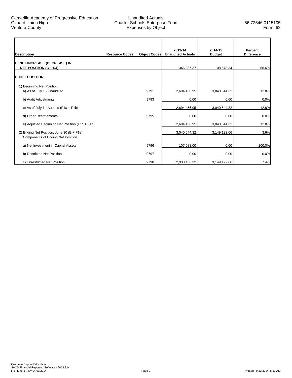| <b>Description</b>                                                             | <b>Resource Codes</b> | <b>Object Codes</b> | 2013-14<br><b>Unaudited Actuals</b> | 2014-15<br><b>Budget</b> | Percent<br><b>Difference</b> |
|--------------------------------------------------------------------------------|-----------------------|---------------------|-------------------------------------|--------------------------|------------------------------|
| E. NET INCREASE (DECREASE) IN<br><b>NET POSITION (C + D4)</b>                  |                       |                     | 346,087.37                          | 108,578.34               | $-68.6%$                     |
| <b>IF. NET POSITION</b>                                                        |                       |                     |                                     |                          |                              |
| 1) Beginning Net Position<br>a) As of July 1 - Unaudited                       |                       | 9791                | 2,694,456.95                        | 3,040,544.32             | 12.8%                        |
| b) Audit Adjustments                                                           |                       | 9793                | 0.00                                | 0.00                     | 0.0%                         |
| c) As of July 1 - Audited ( $F1a + F1b$ )                                      |                       |                     | 2,694,456.95                        | 3,040,544.32             | 12.8%                        |
| d) Other Restatements                                                          |                       | 9795                | 0.00                                | 0.00                     | 0.0%                         |
| e) Adjusted Beginning Net Position (F1c + F1d)                                 |                       |                     | 2,694,456.95                        | 3,040,544.32             | 12.8%                        |
| 2) Ending Net Position, June 30 (E + F1e)<br>Components of Ending Net Position |                       |                     | 3,040,544.32                        | 3,149,122.66             | 3.6%                         |
| a) Net Investment in Capital Assets                                            |                       | 9796                | 107,088.00                          | 0.00                     | $-100.0%$                    |
| b) Restricted Net Position                                                     |                       | 9797                | 0.00                                | 0.00                     | 0.0%                         |
| c) Unrestricted Net Position                                                   |                       | 9790                | 2,933,456.32                        | 3,149,122.66             | 7.4%                         |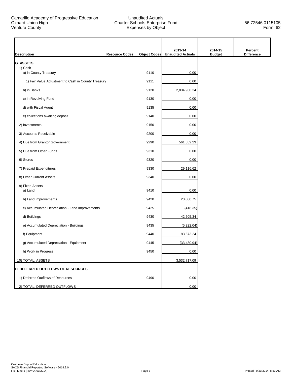$\mathbf{r}$ 

| <b>Description</b>                                  | <b>Resource Codes</b> | <b>Object Codes</b> | 2013-14<br><b>Unaudited Actuals</b> | 2014-15<br><b>Budget</b> | Percent<br><b>Difference</b> |
|-----------------------------------------------------|-----------------------|---------------------|-------------------------------------|--------------------------|------------------------------|
| <b>G. ASSETS</b>                                    |                       |                     |                                     |                          |                              |
| 1) Cash<br>a) in County Treasury                    |                       | 9110                | 0.00                                |                          |                              |
| 1) Fair Value Adjustment to Cash in County Treasury |                       | 9111                | 0.00                                |                          |                              |
| b) in Banks                                         |                       | 9120                | 2,834,960.24                        |                          |                              |
| c) in Revolving Fund                                |                       | 9130                | 0.00                                |                          |                              |
| d) with Fiscal Agent                                |                       | 9135                | 0.00                                |                          |                              |
| e) collections awaiting deposit                     |                       | 9140                | 0.00                                |                          |                              |
| 2) Investments                                      |                       | 9150                | 0.00                                |                          |                              |
| 3) Accounts Receivable                              |                       | 9200                | 0.00                                |                          |                              |
| 4) Due from Grantor Government                      |                       | 9290                | 561,552.23                          |                          |                              |
| 5) Due from Other Funds                             |                       | 9310                | 0.00                                |                          |                              |
| 6) Stores                                           |                       | 9320                | 0.00                                |                          |                              |
| 7) Prepaid Expenditures                             |                       | 9330                | 29,116.62                           |                          |                              |
| 8) Other Current Assets                             |                       | 9340                | 0.00                                |                          |                              |
| 9) Fixed Assets<br>a) Land                          |                       | 9410                | 0.00                                |                          |                              |
| b) Land Improvements                                |                       | 9420                | 20,080.75                           |                          |                              |
| c) Accumulated Depreciation - Land Improvements     |                       | 9425                | (418.35)                            |                          |                              |
| d) Buildings                                        |                       | 9430                | 42,505.34                           |                          |                              |
| e) Accumulated Depreciation - Buildings             |                       | 9435                | (5,322.04)                          |                          |                              |
| f) Equipment                                        |                       | 9440                | 83,673.24                           |                          |                              |
| g) Accumulated Depreciation - Equipment             |                       | 9445                | (33, 430.94)                        |                          |                              |
| h) Work in Progress                                 |                       | 9450                | 0.00                                |                          |                              |
| 10) TOTAL, ASSETS                                   |                       |                     | 3,532,717.09                        |                          |                              |
| <b>H. DEFERRED OUTFLOWS OF RESOURCES</b>            |                       |                     |                                     |                          |                              |
| 1) Deferred Outflows of Resources                   |                       | 9490                | 0.00                                |                          |                              |
| 2) TOTAL, DEFERRED OUTFLOWS                         |                       |                     | 0.00                                |                          |                              |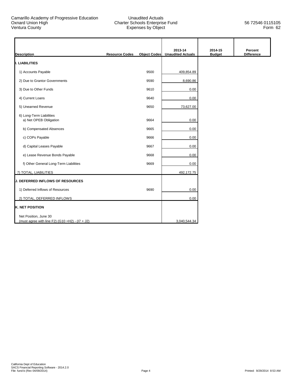|                                                    |                       |                     | 2013-14                  | 2014-15       | Percent           |
|----------------------------------------------------|-----------------------|---------------------|--------------------------|---------------|-------------------|
| <b>Description</b>                                 | <b>Resource Codes</b> | <b>Object Codes</b> | <b>Unaudited Actuals</b> | <b>Budget</b> | <b>Difference</b> |
| <b>II. LIABILITIES</b>                             |                       |                     |                          |               |                   |
| 1) Accounts Payable                                |                       | 9500                | 409,854.89               |               |                   |
| 2) Due to Grantor Governments                      |                       | 9590                | 8,690.86                 |               |                   |
| 3) Due to Other Funds                              |                       | 9610                | 0.00                     |               |                   |
| 4) Current Loans                                   |                       | 9640                | 0.00                     |               |                   |
| 5) Unearned Revenue                                |                       | 9650                | 73,627.00                |               |                   |
| 6) Long-Term Liabilities<br>a) Net OPEB Obligation |                       | 9664                | 0.00                     |               |                   |
| b) Compensated Absences                            |                       | 9665                | 0.00                     |               |                   |
| c) COPs Payable                                    |                       | 9666                | 0.00                     |               |                   |
| d) Capital Leases Payable                          |                       | 9667                | 0.00                     |               |                   |
| e) Lease Revenue Bonds Payable                     |                       | 9668                | 0.00                     |               |                   |
| f) Other General Long-Term Liabilities             |                       | 9669                | 0.00                     |               |                   |
| 7) TOTAL, LIABILITIES                              |                       |                     | 492,172.75               |               |                   |
| <b>J. DEFERRED INFLOWS OF RESOURCES</b>            |                       |                     |                          |               |                   |
| 1) Deferred Inflows of Resources                   |                       | 9690                | 0.00                     |               |                   |
| 2) TOTAL, DEFERRED INFLOWS                         |                       |                     | 0.00                     |               |                   |
| <b>K. NET POSITION</b>                             |                       |                     |                          |               |                   |
| Net Position, June 30                              |                       |                     |                          |               |                   |
| (must agree with line F2) (G10 +H2) - (I7 + J2)    |                       |                     | 3,040,544.34             |               |                   |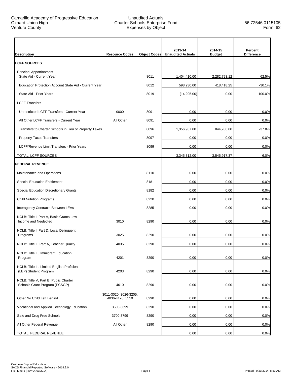| <b>Description</b>                                                     | <b>Resource Codes</b>                    | <b>Object Codes</b> | 2013-14<br><b>Unaudited Actuals</b> | 2014-15<br><b>Budget</b> | Percent<br><b>Difference</b> |
|------------------------------------------------------------------------|------------------------------------------|---------------------|-------------------------------------|--------------------------|------------------------------|
| <b>LCFF SOURCES</b>                                                    |                                          |                     |                                     |                          |                              |
| <b>Principal Apportionment</b><br>State Aid - Current Year             |                                          | 8011                | 1,404,410.00                        | 2,282,793.12             | 62.5%                        |
| Education Protection Account State Aid - Current Year                  |                                          | 8012                | 598,230.00                          | 418,418.25               | $-30.1%$                     |
| State Aid - Prior Years                                                |                                          | 8019                | (14, 295.00)                        | 0.00                     | $-100.0%$                    |
| <b>LCFF Transfers</b>                                                  |                                          |                     |                                     |                          |                              |
| Unrestricted LCFF Transfers - Current Year                             | 0000                                     | 8091                | 0.00                                | 0.00                     | 0.0%                         |
| All Other LCFF Transfers - Current Year                                | All Other                                | 8091                | 0.00                                | 0.00                     | 0.0%                         |
| Transfers to Charter Schools in Lieu of Property Taxes                 |                                          | 8096                | 1,356,967.00                        | 844,706.00               | $-37.8%$                     |
| <b>Property Taxes Transfers</b>                                        |                                          | 8097                | 0.00                                | 0.00                     | 0.0%                         |
| LCFF/Revenue Limit Transfers - Prior Years                             |                                          | 8099                | 0.00                                | 0.00                     | 0.0%                         |
| TOTAL, LCFF SOURCES                                                    |                                          |                     | 3,345,312.00                        | 3,545,917.37             | 6.0%                         |
| <b>FEDERAL REVENUE</b>                                                 |                                          |                     |                                     |                          |                              |
| Maintenance and Operations                                             |                                          | 8110                | 0.00                                | 0.00                     | 0.0%                         |
| <b>Special Education Entitlement</b>                                   |                                          | 8181                | 0.00                                | 0.00                     | 0.0%                         |
| Special Education Discretionary Grants                                 |                                          | 8182                | 0.00                                | 0.00                     | 0.0%                         |
| <b>Child Nutrition Programs</b>                                        |                                          | 8220                | 0.00                                | 0.00                     | 0.0%                         |
| Interagency Contracts Between LEAs                                     |                                          | 8285                | 0.00                                | 0.00                     | 0.0%                         |
| NCLB: Title I, Part A, Basic Grants Low-<br>Income and Neglected       | 3010                                     | 8290                | 0.00                                | 0.00                     | 0.0%                         |
| NCLB: Title I, Part D, Local Delinquent<br>Programs                    | 3025                                     | 8290                | 0.00                                | 0.00                     | 0.0%                         |
| NCLB: Title II, Part A, Teacher Quality                                | 4035                                     | 8290                | 0.00                                | 0.00                     | 0.0%                         |
| NCLB: Title III, Immigrant Education<br>Program                        | 4201                                     | 8290                | 0.00                                | 0.00                     | 0.0%                         |
| NCLB: Title III, Limited English Proficient<br>(LEP) Student Program   | 4203                                     | 8290                | 0.00                                | 0.00                     | 0.0%                         |
| NCLB: Title V, Part B, Public Charter<br>Schools Grant Program (PCSGP) | 4610                                     | 8290                | 0.00                                | 0.00                     | 0.0%                         |
| Other No Child Left Behind                                             | 3011-3020, 3026-3205,<br>4036-4126, 5510 | 8290                | 0.00                                | 0.00                     | 0.0%                         |
| Vocational and Applied Technology Education                            | 3500-3699                                | 8290                | 0.00                                | 0.00                     | 0.0%                         |
| Safe and Drug Free Schools                                             | 3700-3799                                | 8290                | 0.00                                | 0.00                     | 0.0%                         |
| All Other Federal Revenue                                              | All Other                                | 8290                | 0.00                                | 0.00                     | 0.0%                         |
| TOTAL, FEDERAL REVENUE                                                 |                                          |                     | 0.00                                | 0.00                     | 0.0%                         |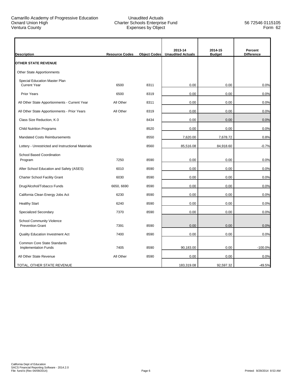| <b>Description</b>                                          | <b>Resource Codes</b> | <b>Object Codes</b> | 2013-14<br><b>Unaudited Actuals</b> | 2014-15<br><b>Budget</b> | Percent<br><b>Difference</b> |
|-------------------------------------------------------------|-----------------------|---------------------|-------------------------------------|--------------------------|------------------------------|
| <b>OTHER STATE REVENUE</b>                                  |                       |                     |                                     |                          |                              |
| Other State Apportionments                                  |                       |                     |                                     |                          |                              |
| Special Education Master Plan<br><b>Current Year</b>        | 6500                  | 8311                | 0.00                                | 0.00                     | 0.0%                         |
| <b>Prior Years</b>                                          | 6500                  | 8319                | 0.00                                | 0.00                     | 0.0%                         |
| All Other State Apportionments - Current Year               | All Other             | 8311                | 0.00                                | 0.00                     | 0.0%                         |
| All Other State Apportionments - Prior Years                | All Other             | 8319                | 0.00                                | 0.00                     | 0.0%                         |
| Class Size Reduction, K-3                                   |                       | 8434                | 0.00                                | 0.00                     | 0.0%                         |
| <b>Child Nutrition Programs</b>                             |                       | 8520                | 0.00                                | 0.00                     | 0.0%                         |
| <b>Mandated Costs Reimbursements</b>                        |                       | 8550                | 7,620.00                            | 7,678.72                 | 0.8%                         |
| Lottery - Unrestricted and Instructional Materials          |                       | 8560                | 85,516.08                           | 84,918.60                | $-0.7%$                      |
| <b>School Based Coordination</b><br>Program                 | 7250                  | 8590                | 0.00                                | 0.00                     | 0.0%                         |
| After School Education and Safety (ASES)                    | 6010                  | 8590                | 0.00                                | 0.00                     | 0.0%                         |
| <b>Charter School Facility Grant</b>                        | 6030                  | 8590                | 0.00                                | 0.00                     | 0.0%                         |
| Drug/Alcohol/Tobacco Funds                                  | 6650, 6690            | 8590                | 0.00                                | 0.00                     | 0.0%                         |
| California Clean Energy Jobs Act                            | 6230                  | 8590                | 0.00                                | 0.00                     | 0.0%                         |
| <b>Healthy Start</b>                                        | 6240                  | 8590                | 0.00                                | 0.00                     | 0.0%                         |
| <b>Specialized Secondary</b>                                | 7370                  | 8590                | 0.00                                | 0.00                     | 0.0%                         |
| <b>School Community Violence</b><br><b>Prevention Grant</b> | 7391                  | 8590                | 0.00                                | 0.00                     | 0.0%                         |
| <b>Quality Education Investment Act</b>                     | 7400                  | 8590                | 0.00                                | 0.00                     | 0.0%                         |
| Common Core State Standards<br><b>Implementation Funds</b>  | 7405                  | 8590                | 90,183.00                           | 0.00                     | $-100.0%$                    |
| All Other State Revenue                                     | All Other             | 8590                | 0.00                                | 0.00                     | 0.0%                         |
| TOTAL, OTHER STATE REVENUE                                  |                       |                     | 183,319.08                          | 92,597.32                | $-49.5%$                     |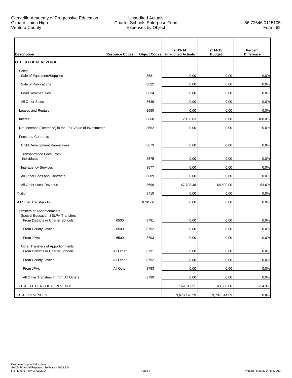| <b>Description</b>                                                            | <b>Resource Codes</b> | <b>Object Codes</b> | 2013-14<br><b>Unaudited Actuals</b> | 2014-15<br><b>Budget</b> | Percent<br><b>Difference</b> |
|-------------------------------------------------------------------------------|-----------------------|---------------------|-------------------------------------|--------------------------|------------------------------|
| <b>OTHER LOCAL REVENUE</b>                                                    |                       |                     |                                     |                          |                              |
| Sales<br>Sale of Equipment/Supplies                                           |                       | 8631                | 0.00                                | 0.00                     | 0.0%                         |
|                                                                               |                       |                     |                                     |                          |                              |
| Sale of Publications                                                          |                       | 8632                | 0.00                                | 0.00                     | 0.0%                         |
| <b>Food Service Sales</b>                                                     |                       | 8634                | 0.00                                | 0.00                     | 0.0%                         |
| All Other Sales                                                               |                       | 8639                | 0.00                                | 0.00                     | 0.0%                         |
| Leases and Rentals                                                            |                       | 8650                | 0.00                                | 0.00                     | 0.0%                         |
| Interest                                                                      |                       | 8660                | 2,138.83                            | 0.00                     | $-100.0%$                    |
| Net Increase (Decrease) in the Fair Value of Investments                      |                       | 8662                | 0.00                                | 0.00                     | 0.0%                         |
| <b>Fees and Contracts</b>                                                     |                       |                     |                                     |                          |                              |
| Child Development Parent Fees                                                 |                       | 8673                | 0.00                                | 0.00                     | 0.0%                         |
| <b>Transportation Fees From</b><br>Individuals                                |                       | 8675                | 0.00                                | 0.00                     | 0.0%                         |
|                                                                               |                       |                     |                                     |                          |                              |
| <b>Interagency Services</b>                                                   |                       | 8677                | 0.00                                | 0.00                     | 0.0%                         |
| All Other Fees and Contracts                                                  |                       | 8689                | 0.00                                | 0.00                     | 0.0%                         |
| All Other Local Revenue                                                       |                       | 8699                | 147,708.48                          | 68,500.00                | $-53.6%$                     |
| Tuition                                                                       |                       | 8710                | 0.00                                | 0.00                     | 0.0%                         |
| All Other Transfers In                                                        |                       | 8781-8783           | 0.00                                | 0.00                     | 0.0%                         |
| <b>Transfers of Apportionments</b>                                            |                       |                     |                                     |                          |                              |
| <b>Special Education SELPA Transfers</b><br>From Districts or Charter Schools | 6500                  | 8791                | 0.00                                | 0.00                     | 0.0%                         |
| From County Offices                                                           | 6500                  | 8792                | 0.00                                | 0.00                     | 0.0%                         |
| From JPAs                                                                     | 6500                  | 8793                | 0.00                                | 0.00                     | 0.0%                         |
| Other Transfers of Apportionments<br>From Districts or Charter Schools        | All Other             | 8791                | 0.00                                | 0.00                     | 0.0%                         |
| From County Offices                                                           | All Other             | 8792                | 0.00                                | 0.00                     | 0.0%                         |
| From JPAs                                                                     | All Other             | 8793                | 0.00                                | 0.00                     | 0.0%                         |
| All Other Transfers In from All Others                                        |                       | 8799                | 0.00                                | 0.00                     | 0.0%                         |
| TOTAL, OTHER LOCAL REVENUE                                                    |                       |                     | 149,847.31                          | 68,500.00                | $-54.3%$                     |
| <b>TOTAL, REVENUES</b>                                                        |                       |                     | 3,678,478.39                        | 3,707,014.69             | 0.8%                         |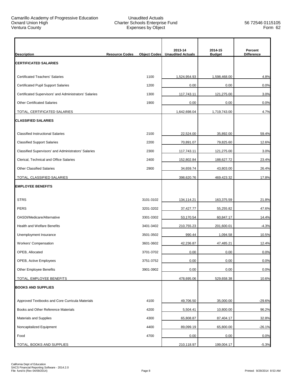| <b>Description</b>                                     | <b>Resource Codes</b> | <b>Object Codes</b> | 2013-14<br><b>Unaudited Actuals</b> | 2014-15<br><b>Budget</b> | Percent<br><b>Difference</b> |
|--------------------------------------------------------|-----------------------|---------------------|-------------------------------------|--------------------------|------------------------------|
| <b>CERTIFICATED SALARIES</b>                           |                       |                     |                                     |                          |                              |
| <b>Certificated Teachers' Salaries</b>                 |                       | 1100                | 1,524,954.93                        | 1,598,468.00             | 4.8%                         |
| <b>Certificated Pupil Support Salaries</b>             |                       | 1200                | 0.00                                | 0.00                     | 0.0%                         |
| Certificated Supervisors' and Administrators' Salaries |                       | 1300                | 117,743.11                          | 121,275.00               | 3.0%                         |
| <b>Other Certificated Salaries</b>                     |                       | 1900                | 0.00                                | 0.00                     | 0.0%                         |
| TOTAL, CERTIFICATED SALARIES                           |                       |                     | 1,642,698.04                        | 1,719,743.00             | 4.7%                         |
| <b>CLASSIFIED SALARIES</b>                             |                       |                     |                                     |                          |                              |
| <b>Classified Instructional Salaries</b>               |                       | 2100                | 22,524.00                           | 35,892.00                | 59.4%                        |
| <b>Classified Support Salaries</b>                     |                       | 2200                | 70,891.07                           | 79,825.60                | 12.6%                        |
| Classified Supervisors' and Administrators' Salaries   |                       | 2300                | 117,743.11                          | 121,275.00               | 3.0%                         |
| Clerical, Technical and Office Salaries                |                       | 2400                | 152,802.84                          | 188,627.72               | 23.4%                        |
| <b>Other Classified Salaries</b>                       |                       | 2900                | 34,659.74                           | 43,803.00                | 26.4%                        |
| TOTAL, CLASSIFIED SALARIES                             |                       |                     | 398,620.76                          | 469,423.32               | 17.8%                        |
| <b>EMPLOYEE BENEFITS</b>                               |                       |                     |                                     |                          |                              |
| <b>STRS</b>                                            |                       | 3101-3102           | 134,114.21                          | 163,375.59               | 21.8%                        |
| <b>PERS</b>                                            |                       | 3201-3202           | 37,427.77                           | 55,255.82                | 47.6%                        |
| OASDI/Medicare/Alternative                             |                       | 3301-3302           | 53,170.54                           | 60,847.17                | 14.4%                        |
| <b>Health and Welfare Benefits</b>                     |                       | 3401-3402           | 210,755.23                          | 201,600.01               | $-4.3%$                      |
| Unemployment Insurance                                 |                       | 3501-3502           | 990.44                              | 1,094.58                 | 10.5%                        |
| Workers' Compensation                                  |                       | 3601-3602           | 42,236.87                           | 47,485.21                | 12.4%                        |
| OPEB, Allocated                                        |                       | 3701-3702           | 0.00                                | 0.00                     | $0.0\%$                      |
| OPEB, Active Employees                                 |                       | 3751-3752           | 0.00                                | 0.00                     | 0.0%                         |
| Other Employee Benefits                                |                       | 3901-3902           | 0.00                                | 0.00                     | 0.0%                         |
| TOTAL, EMPLOYEE BENEFITS                               |                       |                     | 478,695.06                          | 529,658.38               | 10.6%                        |
| <b>BOOKS AND SUPPLIES</b>                              |                       |                     |                                     |                          |                              |
| Approved Textbooks and Core Curricula Materials        |                       | 4100                | 49,706.50                           | 35,000.00                | $-29.6%$                     |
| Books and Other Reference Materials                    |                       | 4200                | 5,504.41                            | 10,800.00                | 96.2%                        |
| Materials and Supplies                                 |                       | 4300                | 65,808.87                           | 87,404.17                | 32.8%                        |
| Noncapitalized Equipment                               |                       | 4400                | 89,099.19                           | 65,800.00                | $-26.1%$                     |
| Food                                                   |                       | 4700                | 0.00                                | 0.00                     | 0.0%                         |
| TOTAL, BOOKS AND SUPPLIES                              |                       |                     | 210,118.97                          | 199,004.17               | $-5.3%$                      |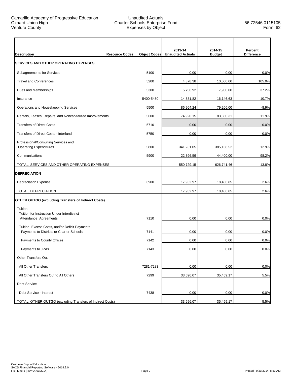| <b>Description</b>                                                                         | <b>Resource Codes</b><br><b>Object Codes</b> | 2013-14<br><b>Unaudited Actuals</b> | 2014-15<br><b>Budget</b> | Percent<br><b>Difference</b> |
|--------------------------------------------------------------------------------------------|----------------------------------------------|-------------------------------------|--------------------------|------------------------------|
| <b>SERVICES AND OTHER OPERATING EXPENSES</b>                                               |                                              |                                     |                          |                              |
| Subagreements for Services                                                                 | 5100                                         | 0.00                                | 0.00                     | 0.0%                         |
| <b>Travel and Conferences</b>                                                              | 5200                                         | 4,878.38                            | 10,000.00                | 105.0%                       |
| Dues and Memberships                                                                       | 5300                                         | 5,756.92                            | 7,900.00                 | 37.2%                        |
| Insurance                                                                                  | 5400-5450                                    | 14,581.82                           | 16,146.63                | 10.7%                        |
| Operations and Housekeeping Services                                                       | 5500                                         | 86,964.24                           | 79,266.00                | $-8.9%$                      |
| Rentals, Leases, Repairs, and Noncapitalized Improvements                                  | 5600                                         | 74,920.15                           | 83,860.31                | 11.9%                        |
| <b>Transfers of Direct Costs</b>                                                           | 5710                                         | 0.00                                | 0.00                     | 0.0%                         |
| Transfers of Direct Costs - Interfund                                                      | 5750                                         | 0.00                                | 0.00                     | 0.0%                         |
| Professional/Consulting Services and<br><b>Operating Expenditures</b>                      | 5800                                         | 341,231.05                          | 385,168.52               | 12.9%                        |
| Communications                                                                             | 5900                                         | 22,396.59                           | 44,400.00                | 98.2%                        |
| TOTAL, SERVICES AND OTHER OPERATING EXPENSES                                               |                                              | 550,729.15                          | 626,741.46               | 13.8%                        |
| <b>DEPRECIATION</b>                                                                        |                                              |                                     |                          |                              |
| <b>Depreciation Expense</b>                                                                | 6900                                         | 17,932.97                           | 18,406.85                | 2.6%                         |
| TOTAL, DEPRECIATION                                                                        |                                              | 17,932.97                           | 18,406.85                | 2.6%                         |
| <b>OTHER OUTGO (excluding Transfers of Indirect Costs)</b>                                 |                                              |                                     |                          |                              |
| Tuition<br>Tuition for Instruction Under Interdistrict<br>Attendance Agreements            | 7110                                         | 0.00                                | 0.00                     | 0.0%                         |
| Tuition, Excess Costs, and/or Deficit Payments<br>Payments to Districts or Charter Schools | 7141                                         | 0.00                                | 0.00                     | 0.0%                         |
| Payments to County Offices                                                                 | 7142                                         | 0.00                                | 0.00                     | 0.0%                         |
| Payments to JPAs                                                                           | 7143                                         | 0.00                                | 0.00                     | 0.0%                         |
| <b>Other Transfers Out</b>                                                                 |                                              |                                     |                          |                              |
| All Other Transfers                                                                        | 7281-7283                                    | 0.00                                | 0.00                     | 0.0%                         |
| All Other Transfers Out to All Others                                                      | 7299                                         | 33,596.07                           | 35,459.17                | 5.5%                         |
| Debt Service                                                                               |                                              |                                     |                          |                              |
| Debt Service - Interest                                                                    | 7438                                         | 0.00                                | 0.00                     | 0.0%                         |
| TOTAL, OTHER OUTGO (excluding Transfers of Indirect Costs)                                 |                                              | 33,596.07                           | 35,459.17                | 5.5%                         |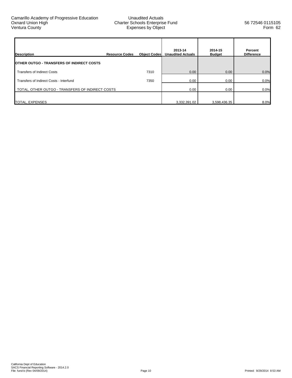| <b>Description</b>                                | <b>Resource Codes</b> | <b>Object Codes</b> | 2013-14<br><b>Unaudited Actuals</b> | 2014-15<br><b>Budget</b> | Percent<br><b>Difference</b> |
|---------------------------------------------------|-----------------------|---------------------|-------------------------------------|--------------------------|------------------------------|
| <b>IOTHER OUTGO - TRANSFERS OF INDIRECT COSTS</b> |                       |                     |                                     |                          |                              |
| <b>Transfers of Indirect Costs</b>                |                       | 7310                | 0.00                                | 0.00                     | 0.0%                         |
| Transfers of Indirect Costs - Interfund           |                       | 7350                | 0.00                                | 0.00                     | 0.0%                         |
| TOTAL, OTHER OUTGO - TRANSFERS OF INDIRECT COSTS  |                       |                     | 0.00                                | 0.00                     | 0.0%                         |
| TOTAL, EXPENSES                                   |                       |                     | 3,332,391.02                        | 3,598,436.35             | 8.0%                         |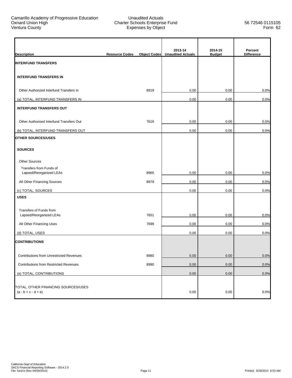| <b>Description</b>                                           | <b>Resource Codes</b> | <b>Object Codes</b> | 2013-14<br><b>Unaudited Actuals</b> | 2014-15<br><b>Budget</b> | Percent<br><b>Difference</b> |
|--------------------------------------------------------------|-----------------------|---------------------|-------------------------------------|--------------------------|------------------------------|
| <b>INTERFUND TRANSFERS</b>                                   |                       |                     |                                     |                          |                              |
| <b>INTERFUND TRANSFERS IN</b>                                |                       |                     |                                     |                          |                              |
| Other Authorized Interfund Transfers In                      |                       | 8919                | 0.00                                | 0.00                     | 0.0%                         |
| (a) TOTAL, INTERFUND TRANSFERS IN                            |                       |                     | 0.00                                | 0.00                     | 0.0%                         |
| <b>INTERFUND TRANSFERS OUT</b>                               |                       |                     |                                     |                          |                              |
| Other Authorized Interfund Transfers Out                     |                       | 7619                | 0.00                                | 0.00                     | 0.0%                         |
| (b) TOTAL, INTERFUND TRANSFERS OUT                           |                       |                     | 0.00                                | 0.00                     | 0.0%                         |
| <b>OTHER SOURCES/USES</b>                                    |                       |                     |                                     |                          |                              |
| <b>SOURCES</b>                                               |                       |                     |                                     |                          |                              |
| <b>Other Sources</b>                                         |                       |                     |                                     |                          |                              |
| Transfers from Funds of<br>Lapsed/Reorganized LEAs           |                       | 8965                | 0.00                                | 0.00                     | 0.0%                         |
| All Other Financing Sources                                  |                       | 8979                | 0.00                                | 0.00                     | 0.0%                         |
|                                                              |                       |                     |                                     |                          |                              |
| (c) TOTAL, SOURCES<br><b>USES</b>                            |                       |                     | 0.00                                | 0.00                     | 0.0%                         |
|                                                              |                       |                     |                                     |                          |                              |
| Transfers of Funds from                                      |                       |                     |                                     |                          |                              |
| Lapsed/Reorganized LEAs                                      |                       | 7651                | 0.00                                | 0.00                     | 0.0%                         |
| All Other Financing Uses                                     |                       | 7699                | 0.00                                | 0.00                     | 0.0%                         |
| (d) TOTAL, USES                                              |                       |                     | 0.00                                | 0.00                     | 0.0%                         |
| <b>CONTRIBUTIONS</b>                                         |                       |                     |                                     |                          |                              |
| Contributions from Unrestricted Revenues                     |                       | 8980                | $0.00\,$                            | 0.00                     | 0.0%                         |
| <b>Contributions from Restricted Revenues</b>                |                       | 8990                | 0.00                                | 0.00                     | 0.0%                         |
| (e) TOTAL, CONTRIBUTIONS                                     |                       |                     | 0.00                                | 0.00                     | 0.0%                         |
|                                                              |                       |                     |                                     |                          |                              |
| TOTAL, OTHER FINANCING SOURCES/USES<br>$(a - b + c - d + e)$ |                       |                     | 0.00                                | $0.00\,$                 | 0.0%                         |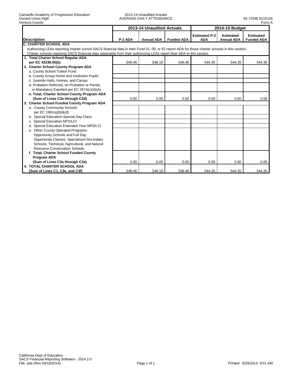|                                                                                                                                                 |         | 2013-14 Unaudited Actuals |                   | 2014-15 Budget                     |                                       |                                       |
|-------------------------------------------------------------------------------------------------------------------------------------------------|---------|---------------------------|-------------------|------------------------------------|---------------------------------------|---------------------------------------|
| <b>Description</b>                                                                                                                              | P-2 ADA | <b>Annual ADA</b>         | <b>Funded ADA</b> | <b>Estimated P-2</b><br><b>ADA</b> | <b>Estimated</b><br><b>Annual ADA</b> | <b>Estimated</b><br><b>Funded ADA</b> |
| <b>IC. CHARTER SCHOOL ADA</b>                                                                                                                   |         |                           |                   |                                    |                                       |                                       |
| Authorizing LEAs reporting charter school SACS financial data in their Fund 01, 09, or 62 report ADA for those charter schools in this section. |         |                           |                   |                                    |                                       |                                       |
| Charter schools reporting SACS financial data separately from their authorizing LEAs report their ADA in this section.                          |         |                           |                   |                                    |                                       |                                       |
| 1. Total Charter School Regular ADA                                                                                                             |         |                           |                   |                                    |                                       |                                       |
| per EC 42238.05(b)                                                                                                                              | 548.46  | 548.18                    | 548.46            | 544.35                             | 544.35                                | 544.35                                |
| 2. Charter School County Program ADA                                                                                                            |         |                           |                   |                                    |                                       |                                       |
| a. County School Tuition Fund                                                                                                                   |         |                           |                   |                                    |                                       |                                       |
| b. County Group Home and Institution Pupils                                                                                                     |         |                           |                   |                                    |                                       |                                       |
| c. Juvenile Halls, Homes, and Camps                                                                                                             |         |                           |                   |                                    |                                       |                                       |
| d. Probation Referred, on Probation or Parole.                                                                                                  |         |                           |                   |                                    |                                       |                                       |
| or Mandatory Expelled per EC 2574(c)(4)(A)                                                                                                      |         |                           |                   |                                    |                                       |                                       |
| e. Total, Charter School County Program ADA                                                                                                     |         |                           |                   |                                    |                                       |                                       |
| (Sum of Lines C2a through C2d)                                                                                                                  | 0.00    | 0.00                      | 0.00              | 0.00                               | 0.00                                  | 0.00                                  |
| 3. Charter School Funded County Program ADA                                                                                                     |         |                           |                   |                                    |                                       |                                       |
| a. County Community Schools                                                                                                                     |         |                           |                   |                                    |                                       |                                       |
| per EC 1981(a)(b)&(d)                                                                                                                           |         |                           |                   |                                    |                                       |                                       |
| b. Special Education-Special Day Class                                                                                                          |         |                           |                   |                                    |                                       |                                       |
| c. Special Education-NPS/LCI                                                                                                                    |         |                           |                   |                                    |                                       |                                       |
| d. Special Education Extended Year-NPS/LCI                                                                                                      |         |                           |                   |                                    |                                       |                                       |
| e. Other County Operated Programs:                                                                                                              |         |                           |                   |                                    |                                       |                                       |
| Opportunity Schools and Full Day                                                                                                                |         |                           |                   |                                    |                                       |                                       |
| Opportunity Classes, Specialized Secondary                                                                                                      |         |                           |                   |                                    |                                       |                                       |
| Schools, Technical, Agricultural, and Natural                                                                                                   |         |                           |                   |                                    |                                       |                                       |
| <b>Resource Conservation Schools</b>                                                                                                            |         |                           |                   |                                    |                                       |                                       |
| f. Total, Charter School Funded County                                                                                                          |         |                           |                   |                                    |                                       |                                       |
| Program ADA                                                                                                                                     |         |                           |                   |                                    |                                       |                                       |
| (Sum of Lines C3a through C3e)                                                                                                                  | 0.00    | 0.00                      | 0.00              | 0.00                               | 0.00                                  | 0.00                                  |
| <b>4. TOTAL CHARTER SCHOOL ADA</b>                                                                                                              |         |                           |                   |                                    |                                       |                                       |
| (Sum of Lines C1, C2e, and C3f)                                                                                                                 | 548.46  | 548.18                    | 548.46            | 544.35                             | 544.35                                | 544.35                                |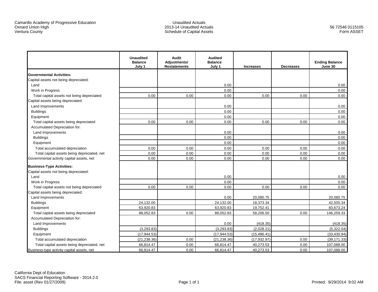Unaudited Actuals 2013-14 Unaudited ActualsSchedule of Capital Assets

|                                             | <b>Unaudited</b><br><b>Balance</b><br>July 1 | Audit<br>Adjustments/<br><b>Restatements</b> | <b>Audited</b><br><b>Balance</b><br>July 1 | <b>Increases</b> | <b>Decreases</b> | <b>Ending Balance</b><br>June 30 |
|---------------------------------------------|----------------------------------------------|----------------------------------------------|--------------------------------------------|------------------|------------------|----------------------------------|
| <b>Governmental Activities:</b>             |                                              |                                              |                                            |                  |                  |                                  |
| Capital assets not being depreciated:       |                                              |                                              |                                            |                  |                  |                                  |
| Land                                        |                                              |                                              | 0.00                                       |                  |                  | 0.00                             |
| Work in Progress                            |                                              |                                              | 0.00                                       |                  |                  | 0.00                             |
| Total capital assets not being depreciated  | 0.00                                         | 0.00                                         | 0.00                                       | 0.00             | 0.00             | 0.00                             |
| Capital assets being depreciated:           |                                              |                                              |                                            |                  |                  |                                  |
| Land Improvements                           |                                              |                                              | 0.00                                       |                  |                  | 0.00                             |
| <b>Buildings</b>                            |                                              |                                              | 0.00                                       |                  |                  | 0.00                             |
| Equipment                                   |                                              |                                              | 0.00                                       |                  |                  | 0.00                             |
| Total capital assets being depreciated      | 0.00                                         | 0.00                                         | 0.00                                       | 0.00             | 0.00             | 0.00                             |
| Accumulated Depreciation for:               |                                              |                                              |                                            |                  |                  |                                  |
| Land Improvements                           |                                              |                                              | 0.00                                       |                  |                  | 0.00                             |
| <b>Buildings</b>                            |                                              |                                              | 0.00                                       |                  |                  | 0.00                             |
| Equipment                                   |                                              |                                              | 0.00                                       |                  |                  | 0.00                             |
| Total accumulated depreciation              | 0.00                                         | 0.00                                         | 0.00                                       | 0.00             | 0.00             | 0.00                             |
| Total capital assets being depreciated, net | 0.00                                         | 0.00                                         | 0.00                                       | 0.00             | 0.00             | 0.00                             |
| Governmental activity capital assets, net   | 0.00                                         | 0.00                                         | 0.00                                       | 0.00             | 0.00             | 0.00                             |
| <b>Business-Type Activities:</b>            |                                              |                                              |                                            |                  |                  |                                  |
| Capital assets not being depreciated:       |                                              |                                              |                                            |                  |                  |                                  |
| Land                                        |                                              |                                              | 0.00                                       |                  |                  | 0.00                             |
| Work in Progress                            |                                              |                                              | 0.00                                       |                  |                  | 0.00                             |
| Total capital assets not being depreciated  | 0.00                                         | 0.00                                         | 0.00                                       | 0.00             | 0.00             | 0.00                             |
| Capital assets being depreciated:           |                                              |                                              |                                            |                  |                  |                                  |
| Land Improvements                           |                                              |                                              | 0.00                                       | 20,080.75        |                  | 20,080.75                        |
| <b>Buildings</b>                            | 24,132.00                                    |                                              | 24,132.00                                  | 18,373.34        |                  | 42,505.34                        |
| Equipment                                   | 63,920.83                                    |                                              | 63,920.83                                  | 19,752.41        |                  | 83,673.24                        |
| Total capital assets being depreciated      | 88,052.83                                    | 0.00                                         | 88,052.83                                  | 58,206.50        | 0.00             | 146,259.33                       |
| Accumulated Depreciation for:               |                                              |                                              |                                            |                  |                  |                                  |
| Land Improvements                           |                                              |                                              | 0.00                                       | (418.35)         |                  | (418.35)                         |
| <b>Buildings</b>                            | (3.293.83)                                   |                                              | (3.293.83)                                 | (2.028.21)       |                  | (5.322.04)                       |
| Equipment                                   | (17, 944.53)                                 |                                              | (17, 944.53)                               | (15, 486.41)     |                  | (33, 430.94)                     |
| Total accumulated depreciation              | (21, 238.36)                                 | 0.00                                         | (21, 238.36)                               | (17, 932.97)     | 0.00             | (39, 171.33)                     |
| Total capital assets being depreciated, net | 66,814.47                                    | 0.00                                         | 66,814.47                                  | 40,273.53        | 0.00             | 107,088.00                       |
| Business-type activity capital assets, net  | 66,814.47                                    | 0.00                                         | 66,814.47                                  | 40,273.53        | 0.00             | 107,088.00                       |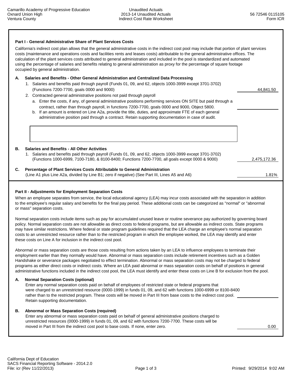# **Part I - General Administrative Share of Plant Services Costs**  California's indirect cost plan allows that the general administrative costs in the indirect cost pool may include that portion of plant services costs (maintenance and operations costs and facilities rents and leases costs) attributable to the general administrative offices. The calculation of the plant services costs attributed to general administration and included in the pool is standardized and automated using the percentage of salaries and benefits relating to general administration as proxy for the percentage of square footage occupied by general administration.  **A. Salaries and Benefits - Other General Administration and Centralized Data Processing**  1. Salaries and benefits paid through payroll (Funds 01, 09, and 62, objects 1000-3999 except 3701-3702) (Functions 7200-7700, goals 0000 and 9000) 44,841.50 2. Contracted general administrative positions not paid through payroll a. Enter the costs, if any, of general administrative positions performing services ON SITE but paid through a contract, rather than through payroll, in functions 7200-7700, goals 0000 and 9000, Object 5800. b. If an amount is entered on Line A2a, provide the title, duties, and approximate FTE of each general administrative position paid through a contract. Retain supporting documentation in case of audit.  **B. Salaries and Benefits - All Other Activities**  1. Salaries and benefits paid through payroll (Funds 01, 09, and 62, objects 1000-3999 except 3701-3702) (Functions 1000-6999, 7100-7180, & 8100-8400; Functions 7200-7700, all goals except 0000 & 9000) 2,475,172.36  **C. Percentage of Plant Services Costs Attributable to General Administration** (Line A1 plus Line A2a, divided by Line B1; zero if negative) (See Part III, Lines A5 and A6) 1.81%

## **Part II - Adjustments for Employment Separation Costs**

 When an employee separates from service, the local educational agency (LEA) may incur costs associated with the separation in addition to the employee's regular salary and benefits for the final pay period. These additional costs can be categorized as "normal" or "abnormal or mass" separation costs.

 Normal separation costs include items such as pay for accumulated unused leave or routine severance pay authorized by governing board policy. Normal separation costs are not allowable as direct costs to federal programs, but are allowable as indirect costs. State programs may have similar restrictions. Where federal or state program guidelines required that the LEA charge an employee's normal separation costs to an unrestricted resource rather than to the restricted program in which the employee worked, the LEA may identify and enter these costs on Line A for inclusion in the indirect cost pool.

 Abnormal or mass separation costs are those costs resulting from actions taken by an LEA to influence employees to terminate their employment earlier than they normally would have. Abnormal or mass separation costs include retirement incentives such as a Golden Handshake or severance packages negotiated to effect termination. Abnormal or mass separation costs may not be charged to federal programs as either direct costs or indirect costs. Where an LEA paid abnormal or mass separation costs on behalf of positions in general administrative functions included in the indirect cost pool, the LEA must identify and enter these costs on Line B for exclusion from the pool.

## **A. Normal Separation Costs (optional)**

 Enter any normal separation costs paid on behalf of employees of restricted state or federal programs that were charged to an unrestricted resource (0000-1999) in funds 01, 09, and 62 with functions 1000-6999 or 8100-8400 rather than to the restricted program. These costs will be moved in Part III from base costs to the indirect cost pool. Retain supporting documentation.

## **B. Abnormal or Mass Separation Costs (required)**

 Enter any abnormal or mass separation costs paid on behalf of general administrative positions charged to unrestricted resources (0000-1999) in funds 01, 09, and 62 with functions 7200-7700. These costs will be moved in Part III from the indirect cost pool to base costs. If none, enter zero. 0.00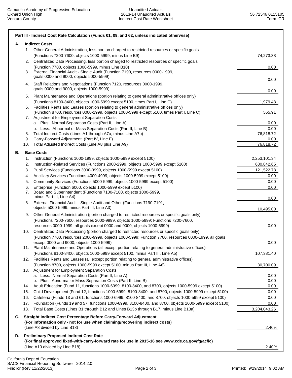| Α. |          | <b>Indirect Costs</b>                                                                                                                                                                                                                                                        |                   |
|----|----------|------------------------------------------------------------------------------------------------------------------------------------------------------------------------------------------------------------------------------------------------------------------------------|-------------------|
|    | 1.       | Other General Administration, less portion charged to restricted resources or specific goals<br>(Functions 7200-7600, objects 1000-5999, minus Line B9)                                                                                                                      | 74,273.38         |
|    | 2.<br>3. | Centralized Data Processing, less portion charged to restricted resources or specific goals<br>(Function 7700, objects 1000-5999, minus Line B10)<br>External Financial Audit - Single Audit (Function 7190, resources 0000-1999,<br>goals 0000 and 9000, objects 5000-5999) | 0.00              |
|    | 4.       | Staff Relations and Negotiations (Function 7120, resources 0000-1999,<br>goals 0000 and 9000, objects 1000-5999)                                                                                                                                                             | 0.00              |
|    | 5.       | Plant Maintenance and Operations (portion relating to general administrative offices only)                                                                                                                                                                                   | 0.00              |
|    | 6.       | (Functions 8100-8400, objects 1000-5999 except 5100, times Part I, Line C)<br>Facilities Rents and Leases (portion relating to general administrative offices only)                                                                                                          | 1,979.43          |
|    | 7.       | (Function 8700, resources 0000-1999, objects 1000-5999 except 5100, times Part I, Line C)<br>Adjustment for Employment Separation Costs                                                                                                                                      | 565.91            |
|    |          | a. Plus: Normal Separation Costs (Part II, Line A)                                                                                                                                                                                                                           | 0.00              |
|    |          | b. Less: Abnormal or Mass Separation Costs (Part II, Line B)<br>Total Indirect Costs (Lines A1 through A7a, minus Line A7b)                                                                                                                                                  | 0.00<br>76,818.72 |
|    | 8.<br>9. | Carry-Forward Adjustment (Part IV, Line F)                                                                                                                                                                                                                                   | 0.00              |
|    | 10.      | Total Adjusted Indirect Costs (Line A8 plus Line A9)                                                                                                                                                                                                                         | 76,818.72         |
| В. |          | <b>Base Costs</b>                                                                                                                                                                                                                                                            |                   |
|    | 1.       | Instruction (Functions 1000-1999, objects 1000-5999 except 5100)                                                                                                                                                                                                             | 2,253,101.34      |
|    | 2.       | Instruction-Related Services (Functions 2000-2999, objects 1000-5999 except 5100)                                                                                                                                                                                            | 680,842.65        |
|    | 3.       | Pupil Services (Functions 3000-3999, objects 1000-5999 except 5100)                                                                                                                                                                                                          | 121,522.78        |
|    | 4.       | Ancillary Services (Functions 4000-4999, objects 1000-5999 except 5100)                                                                                                                                                                                                      | 0.00              |
|    | 5.       | Community Services (Functions 5000-5999, objects 1000-5999 except 5100)                                                                                                                                                                                                      | 0.00              |
|    | 6.<br>7. | Enterprise (Function 6000, objects 1000-5999 except 5100)<br>Board and Superintendent (Functions 7100-7180, objects 1000-5999,<br>minus Part III, Line A4)                                                                                                                   | 0.00<br>0.00      |
|    | 8.       | External Financial Audit - Single Audit and Other (Functions 7190-7191,<br>objects 5000-5999, minus Part III, Line A3)                                                                                                                                                       | 10,495.00         |
|    | 9.       | Other General Administration (portion charged to restricted resources or specific goals only)<br>(Functions 7200-7600, resources 2000-9999, objects 1000-5999; Functions 7200-7600,                                                                                          |                   |
|    |          | resources 0000-1999, all goals except 0000 and 9000, objects 1000-5999)                                                                                                                                                                                                      | 0.00              |
|    | 10.      | Centralized Data Processing (portion charged to restricted resources or specific goals only)<br>(Function 7700, resources 2000-9999, objects 1000-5999; Function 7700, resources 0000-1999, all goals                                                                        |                   |
|    |          | except 0000 and 9000, objects 1000-5999)                                                                                                                                                                                                                                     | 0.00              |
|    |          | Plant Maintenance and Operations (all except portion relating to general administrative offices)                                                                                                                                                                             |                   |
|    | 12.      | (Functions 8100-8400, objects 1000-5999 except 5100, minus Part III, Line A5)<br>Facilities Rents and Leases (all except portion relating to general administrative offices)                                                                                                 | 107,381.40        |
|    |          | (Function 8700, objects 1000-5999 except 5100, minus Part III, Line A6)                                                                                                                                                                                                      | 30,700.09         |
|    |          | 13. Adjustment for Employment Separation Costs<br>a. Less: Normal Separation Costs (Part II, Line A)                                                                                                                                                                         | 0.00              |
|    |          | b. Plus: Abnormal or Mass Separation Costs (Part II, Line B)                                                                                                                                                                                                                 | 0.00              |
|    | 14.      | Adult Education (Fund 11, functions 1000-6999, 8100-8400, and 8700, objects 1000-5999 except 5100)                                                                                                                                                                           | 0.00              |
|    | 15.      | Child Development (Fund 12, functions 1000-6999, 8100-8400, and 8700, objects 1000-5999 except 5100)                                                                                                                                                                         | 0.00              |
|    | 16.      | Cafeteria (Funds 13 and 61, functions 1000-6999, 8100-8400, and 8700, objects 1000-5999 except 5100)                                                                                                                                                                         | 0.00              |
|    | 17.      | Foundation (Funds 19 and 57, functions 1000-6999, 8100-8400, and 8700, objects 1000-5999 except 5100)                                                                                                                                                                        | 0.00              |
|    | 18.      | Total Base Costs (Lines B1 through B12 and Lines B13b through B17, minus Line B13a)                                                                                                                                                                                          | 3,204,043.26      |
| C. |          | Straight Indirect Cost Percentage Before Carry-Forward Adjustment<br>(For information only - not for use when claiming/recovering indirect costs)                                                                                                                            |                   |
|    |          | (Line A8 divided by Line B18)                                                                                                                                                                                                                                                | 2.40%             |
|    |          | D. Preliminary Proposed Indirect Cost Rate                                                                                                                                                                                                                                   |                   |
|    |          | (For final approved fixed-with-carry-forward rate for use in 2015-16 see www.cde.ca.gov/fg/ac/ic)<br>(Line A10 divided by Line B18)                                                                                                                                          | 2.40%             |
|    |          |                                                                                                                                                                                                                                                                              |                   |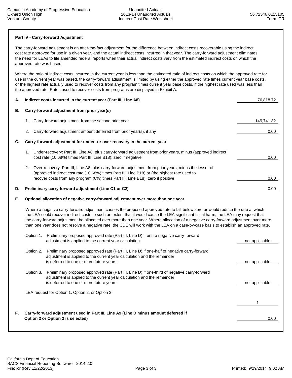## **Part IV - Carry-forward Adjustment**

 The carry-forward adjustment is an after-the-fact adjustment for the difference between indirect costs recoverable using the indirect cost rate approved for use in a given year, and the actual indirect costs incurred in that year. The carry-forward adjustment eliminates the need for LEAs to file amended federal reports when their actual indirect costs vary from the estimated indirect costs on which the approved rate was based.

 Where the ratio of indirect costs incurred in the current year is less than the estimated ratio of indirect costs on which the approved rate for use in the current year was based, the carry-forward adjustment is limited by using either the approved rate times current year base costs, or the highest rate actually used to recover costs from any program times current year base costs, if the highest rate used was less than the approved rate. Rates used to recover costs from programs are displayed in Exhibit A.

| А. | Indirect costs incurred in the current year (Part III, Line A8)                                                                                                                                                                                                                                                                                                                                                                                                                                                                                           | 76,818.72      |  |  |  |  |  |  |
|----|-----------------------------------------------------------------------------------------------------------------------------------------------------------------------------------------------------------------------------------------------------------------------------------------------------------------------------------------------------------------------------------------------------------------------------------------------------------------------------------------------------------------------------------------------------------|----------------|--|--|--|--|--|--|
| В. | Carry-forward adjustment from prior year(s)                                                                                                                                                                                                                                                                                                                                                                                                                                                                                                               |                |  |  |  |  |  |  |
|    | Carry-forward adjustment from the second prior year<br>1.                                                                                                                                                                                                                                                                                                                                                                                                                                                                                                 | 149,741.32     |  |  |  |  |  |  |
|    | Carry-forward adjustment amount deferred from prior year(s), if any<br>2.                                                                                                                                                                                                                                                                                                                                                                                                                                                                                 | $0.00\,$       |  |  |  |  |  |  |
| C. | Carry-forward adjustment for under- or over-recovery in the current year                                                                                                                                                                                                                                                                                                                                                                                                                                                                                  |                |  |  |  |  |  |  |
|    | Under-recovery: Part III, Line A8, plus carry-forward adjustment from prior years, minus (approved indirect<br>1.<br>cost rate (10.68%) times Part III, Line B18); zero if negative                                                                                                                                                                                                                                                                                                                                                                       | 0.00           |  |  |  |  |  |  |
|    | Over-recovery: Part III, Line A8, plus carry-forward adjustment from prior years, minus the lesser of<br>2.<br>(approved indirect cost rate (10.68%) times Part III, Line B18) or (the highest rate used to<br>recover costs from any program (0%) times Part III, Line B18); zero if positive                                                                                                                                                                                                                                                            | 0.00           |  |  |  |  |  |  |
| D. | Preliminary carry-forward adjustment (Line C1 or C2)                                                                                                                                                                                                                                                                                                                                                                                                                                                                                                      | 0.00           |  |  |  |  |  |  |
| Е. | Optional allocation of negative carry-forward adjustment over more than one year                                                                                                                                                                                                                                                                                                                                                                                                                                                                          |                |  |  |  |  |  |  |
|    | Where a negative carry-forward adjustment causes the proposed approved rate to fall below zero or would reduce the rate at which<br>the LEA could recover indirect costs to such an extent that it would cause the LEA significant fiscal harm, the LEA may request that<br>the carry-forward adjustment be allocated over more than one year. Where allocation of a negative carry-forward adjustment over more<br>than one year does not resolve a negative rate, the CDE will work with the LEA on a case-by-case basis to establish an approved rate. |                |  |  |  |  |  |  |
|    | Option 1. Preliminary proposed approved rate (Part III, Line D) if entire negative carry-forward<br>adjustment is applied to the current year calculation:                                                                                                                                                                                                                                                                                                                                                                                                | not applicable |  |  |  |  |  |  |
|    | Preliminary proposed approved rate (Part III, Line D) if one-half of negative carry-forward<br>Option 2.<br>adjustment is applied to the current year calculation and the remainder<br>is deferred to one or more future years:                                                                                                                                                                                                                                                                                                                           | not applicable |  |  |  |  |  |  |
|    | Option 3.<br>Preliminary proposed approved rate (Part III, Line D) if one-third of negative carry-forward<br>adjustment is applied to the current year calculation and the remainder<br>is deferred to one or more future years:                                                                                                                                                                                                                                                                                                                          | not applicable |  |  |  |  |  |  |
|    | LEA request for Option 1, Option 2, or Option 3                                                                                                                                                                                                                                                                                                                                                                                                                                                                                                           |                |  |  |  |  |  |  |
|    |                                                                                                                                                                                                                                                                                                                                                                                                                                                                                                                                                           | 1              |  |  |  |  |  |  |
| F. | Carry-forward adjustment used in Part III, Line A9 (Line D minus amount deferred if<br>Option 2 or Option 3 is selected)                                                                                                                                                                                                                                                                                                                                                                                                                                  | 0.00           |  |  |  |  |  |  |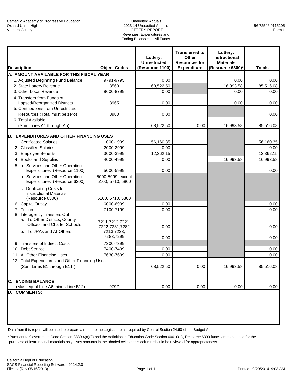#### Unaudited Actuals 2013-14 Unaudited Actuals LOTTERY REPORT Revenues, Expenditures and Ending Balances - All Funds

| <b>Description</b>                                                                            | <b>Object Codes</b>                   | Lottery:<br><b>Unrestricted</b><br>(Resource 1100) | <b>Transferred to</b><br>Other<br><b>Resources for</b><br><b>Expenditure</b> | Lottery:<br><b>Instructional</b><br><b>Materials</b><br>(Resource 6300)* | <b>Totals</b> |
|-----------------------------------------------------------------------------------------------|---------------------------------------|----------------------------------------------------|------------------------------------------------------------------------------|--------------------------------------------------------------------------|---------------|
| A. AMOUNT AVAILABLE FOR THIS FISCAL YEAR                                                      |                                       |                                                    |                                                                              |                                                                          |               |
| 1. Adjusted Beginning Fund Balance                                                            | 9791-9795                             | 0.00                                               |                                                                              | 0.00                                                                     | 0.00          |
| 2. State Lottery Revenue                                                                      | 8560                                  | 68,522.50                                          |                                                                              | 16,993.58                                                                | 85,516.08     |
| 3. Other Local Revenue                                                                        | 8600-8799                             | 0.00                                               |                                                                              | 0.00                                                                     | 0.00          |
| 4. Transfers from Funds of<br>Lapsed/Reorganized Districts                                    | 8965                                  | 0.00                                               |                                                                              | 0.00                                                                     | 0.00          |
| 5. Contributions from Unrestricted                                                            |                                       |                                                    |                                                                              |                                                                          |               |
| Resources (Total must be zero)                                                                | 8980                                  | 0.00                                               |                                                                              |                                                                          | 0.00          |
| 6. Total Available                                                                            |                                       |                                                    |                                                                              |                                                                          |               |
| (Sum Lines A1 through A5)                                                                     |                                       | 68,522.50                                          | 0.00                                                                         | 16,993.58                                                                | 85,516.08     |
| B. EXPENDITURES AND OTHER FINANCING USES                                                      |                                       |                                                    |                                                                              |                                                                          |               |
| 1. Certificated Salaries                                                                      | 1000-1999                             | 56,160.35                                          |                                                                              |                                                                          | 56,160.35     |
| 2. Classified Salaries                                                                        | 2000-2999                             | 0.00                                               |                                                                              |                                                                          | 0.00          |
| 3. Employee Benefits                                                                          | 3000-3999                             | 12,362.15                                          |                                                                              |                                                                          | 12,362.15     |
| 4. Books and Supplies                                                                         | 4000-4999                             | 0.00                                               |                                                                              | 16,993.58                                                                | 16,993.58     |
| 5. a. Services and Other Operating<br>Expenditures (Resource 1100)                            | 5000-5999                             | 0.00                                               |                                                                              |                                                                          | 0.00          |
| b. Services and Other Operating<br>Expenditures (Resource 6300)                               | 5000-5999, except<br>5100, 5710, 5800 |                                                    |                                                                              |                                                                          |               |
| c. Duplicating Costs for<br><b>Instructional Materials</b><br>(Resource 6300)                 | 5100, 5710, 5800                      |                                                    |                                                                              |                                                                          |               |
| 6. Capital Outlay                                                                             | 6000-6999                             | 0.00                                               |                                                                              |                                                                          | 0.00          |
| 7. Tuition                                                                                    | 7100-7199                             | 0.00                                               |                                                                              |                                                                          | 0.00          |
| 8. Interagency Transfers Out<br>a. To Other Districts, County<br>Offices, and Charter Schools | 7211,7212,7221,<br>7222,7281,7282     | 0.00                                               |                                                                              |                                                                          | 0.00          |
| b. To JPAs and All Others                                                                     | 7213.7223.<br>7283,7299               | 0.00                                               |                                                                              |                                                                          | 0.00          |
| 9. Transfers of Indirect Costs                                                                | 7300-7399                             |                                                    |                                                                              |                                                                          |               |
| 10. Debt Service                                                                              | 7400-7499                             | 0.00                                               |                                                                              |                                                                          | 0.00          |
| 11. All Other Financing Uses                                                                  | 7630-7699                             | 0.00                                               |                                                                              |                                                                          | 0.00          |
| 12. Total Expenditures and Other Financing Uses                                               |                                       |                                                    |                                                                              |                                                                          |               |
| (Sum Lines B1 through B11)                                                                    |                                       | 68,522.50                                          | 0.00                                                                         | 16,993.58                                                                | 85,516.08     |
| <b>C. ENDING BALANCE</b><br>(Must equal Line A6 minus Line B12)                               | 979Z                                  | 0.00                                               | 0.00                                                                         | 0.00                                                                     | 0.00          |
| <b>D. COMMENTS:</b>                                                                           |                                       |                                                    |                                                                              |                                                                          |               |

Data from this report will be used to prepare a report to the Legislature as required by Control Section 24.60 of the Budget Act.

\*Pursuant to Government Code Section 8880.4(a)(2) and the definition in Education Code Section 60010(h), Resource 6300 funds are to be used for the purchase of instructional materials only. Any amounts in the shaded cells of this column should be reviewed for appropriateness.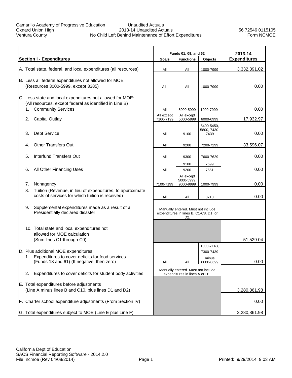### Unaudited Actuals 2013-14 Unaudited Actuals No Child Left Behind Maintenance of Effort Expenditures

56 72546 0115105 Form NCMOE

|    |                                                                                                               |                         | Funds 01, 09, and 62                                                         | 2013-14                   |                     |
|----|---------------------------------------------------------------------------------------------------------------|-------------------------|------------------------------------------------------------------------------|---------------------------|---------------------|
|    | <b>Section I - Expenditures</b>                                                                               | Goals                   | <b>Functions</b>                                                             | Objects                   | <b>Expenditures</b> |
|    | A. Total state, federal, and local expenditures (all resources)                                               | All                     | All                                                                          | 1000-7999                 | 3,332,391.02        |
|    | B. Less all federal expenditures not allowed for MOE                                                          |                         |                                                                              |                           |                     |
|    | (Resources 3000-5999, except 3385)                                                                            | All                     | All                                                                          | 1000-7999                 | 0.00                |
|    | C. Less state and local expenditures not allowed for MOE:                                                     |                         |                                                                              |                           |                     |
|    | (All resources, except federal as identified in Line B)                                                       |                         |                                                                              |                           |                     |
| 1. | <b>Community Services</b>                                                                                     | All                     | 5000-5999                                                                    | 1000-7999                 | 0.00                |
| 2. | <b>Capital Outlay</b>                                                                                         | All except<br>7100-7199 | All except<br>5000-5999                                                      | 6000-6999                 | 17,932.97           |
|    |                                                                                                               |                         |                                                                              | 5400-5450,<br>5800, 7430- |                     |
| 3. | <b>Debt Service</b>                                                                                           | All                     | 9100                                                                         | 7439                      | 0.00                |
| 4. | <b>Other Transfers Out</b>                                                                                    | All                     | 9200                                                                         | 7200-7299                 | 33,596.07           |
|    |                                                                                                               |                         |                                                                              |                           |                     |
| 5. | Interfund Transfers Out                                                                                       | All                     | 9300                                                                         | 7600-7629                 | 0.00                |
|    |                                                                                                               |                         | 9100                                                                         | 7699                      |                     |
| 6. | All Other Financing Uses                                                                                      | All                     | 9200                                                                         | 7651                      | 0.00                |
|    |                                                                                                               |                         | All except<br>5000-5999,                                                     |                           |                     |
| 7. | Nonagency                                                                                                     | 7100-7199               | 9000-9999                                                                    | 1000-7999                 | 0.00                |
| 8. | Tuition (Revenue, in lieu of expenditures, to approximate<br>costs of services for which tuition is received) | All                     | All                                                                          | 8710                      | 0.00                |
|    |                                                                                                               |                         |                                                                              |                           |                     |
| 9. | Supplemental expenditures made as a result of a<br>Presidentially declared disaster                           |                         | Manually entered. Must not include<br>expenditures in lines B, C1-C8, D1, or |                           |                     |
|    |                                                                                                               |                         | D2.                                                                          |                           |                     |
|    | 10. Total state and local expenditures not                                                                    |                         |                                                                              |                           |                     |
|    | allowed for MOE calculation                                                                                   |                         |                                                                              |                           |                     |
|    | (Sum lines C1 through C9)                                                                                     |                         |                                                                              |                           | 51,529.04           |
|    |                                                                                                               |                         |                                                                              | 1000-7143,                |                     |
| 1. | D. Plus additional MOE expenditures:<br>Expenditures to cover deficits for food services                      |                         |                                                                              | 7300-7439<br>minus        |                     |
|    | (Funds 13 and 61) (If negative, then zero)                                                                    | All                     | $\mathsf{All}$                                                               | 8000-8699                 | 0.00                |
| 2. | Expenditures to cover deficits for student body activities                                                    |                         | Manually entered. Must not include<br>expenditures in lines A or D1.         |                           |                     |
|    |                                                                                                               |                         |                                                                              |                           |                     |
|    | E. Total expenditures before adjustments<br>(Line A minus lines B and C10, plus lines D1 and D2)              |                         |                                                                              |                           | 3,280,861.98        |
|    |                                                                                                               |                         |                                                                              |                           |                     |
|    | F. Charter school expenditure adjustments (From Section IV)                                                   |                         |                                                                              |                           | 0.00                |
|    | G. Total expenditures subject to MOE (Line E plus Line F)                                                     |                         |                                                                              |                           | 3,280,861.98        |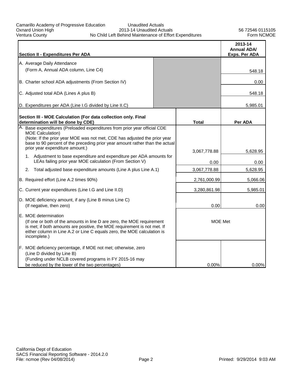## Unaudited Actuals 2013-14 Unaudited Actuals No Child Left Behind Maintenance of Effort Expenditures

| <b>Section II - Expenditures Per ADA</b>                                                                                                                                                                                                                              |              | 2013-14<br><b>Annual ADA/</b><br>Exps. Per ADA |
|-----------------------------------------------------------------------------------------------------------------------------------------------------------------------------------------------------------------------------------------------------------------------|--------------|------------------------------------------------|
| A. Average Daily Attendance                                                                                                                                                                                                                                           |              |                                                |
| (Form A, Annual ADA column, Line C4)                                                                                                                                                                                                                                  |              | 548.18                                         |
|                                                                                                                                                                                                                                                                       |              |                                                |
| B. Charter school ADA adjustments (From Section IV)                                                                                                                                                                                                                   |              | 0.00                                           |
| C. Adjusted total ADA (Lines A plus B)                                                                                                                                                                                                                                |              | 548.18                                         |
| D. Expenditures per ADA (Line I.G divided by Line II.C)                                                                                                                                                                                                               |              | 5,985.01                                       |
| Section III - MOE Calculation (For data collection only. Final<br>determination will be done by CDE)                                                                                                                                                                  | <b>Total</b> | Per ADA                                        |
| A. Base expenditures (Preloaded expenditures from prior year official CDE<br><b>MOE Calculation)</b><br>(Note: If the prior year MOE was not met, CDE has adjusted the prior year<br>base to 90 percent of the preceding prior year amount rather than the actual     |              |                                                |
| prior year expenditure amount.)                                                                                                                                                                                                                                       | 3,067,778.88 | 5,628.95                                       |
| 1. Adjustment to base expenditure and expenditure per ADA amounts for<br>LEAs failing prior year MOE calculation (From Section V)                                                                                                                                     | 0.00         | 0.00                                           |
| 2.<br>Total adjusted base expenditure amounts (Line A plus Line A.1)                                                                                                                                                                                                  | 3,067,778.88 | 5,628.95                                       |
| B. Required effort (Line A.2 times 90%)                                                                                                                                                                                                                               | 2,761,000.99 | 5,066.06                                       |
| C. Current year expenditures (Line I.G and Line II.D)                                                                                                                                                                                                                 | 3,280,861.98 | 5,985.01                                       |
| D. MOE deficiency amount, if any (Line B minus Line C)<br>(If negative, then zero)                                                                                                                                                                                    | 0.00         | 0.00                                           |
| E. MOE determination<br>(If one or both of the amounts in line D are zero, the MOE requirement<br>is met; if both amounts are positive, the MOE requirement is not met. If<br>either column in Line A.2 or Line C equals zero, the MOE calculation is<br>incomplete.) |              | MOE Met                                        |
| F. MOE deficiency percentage, if MOE not met; otherwise, zero<br>(Line D divided by Line B)                                                                                                                                                                           |              |                                                |
| (Funding under NCLB covered programs in FY 2015-16 may<br>be reduced by the lower of the two percentages)                                                                                                                                                             | 0.00%        | 0.00%                                          |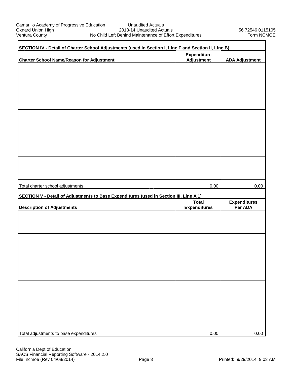| SECTION IV - Detail of Charter School Adjustments (used in Section I, Line F and Section II, Line B) |                                         |                       |  |  |  |  |
|------------------------------------------------------------------------------------------------------|-----------------------------------------|-----------------------|--|--|--|--|
| <b>Charter School Name/Reason for Adjustment</b>                                                     | <b>Expenditure</b><br><b>Adjustment</b> | <b>ADA Adjustment</b> |  |  |  |  |
|                                                                                                      |                                         |                       |  |  |  |  |
|                                                                                                      |                                         |                       |  |  |  |  |
|                                                                                                      |                                         |                       |  |  |  |  |
|                                                                                                      |                                         |                       |  |  |  |  |
|                                                                                                      |                                         |                       |  |  |  |  |
|                                                                                                      |                                         |                       |  |  |  |  |
|                                                                                                      |                                         |                       |  |  |  |  |
|                                                                                                      |                                         |                       |  |  |  |  |
|                                                                                                      |                                         |                       |  |  |  |  |
|                                                                                                      |                                         |                       |  |  |  |  |
|                                                                                                      |                                         |                       |  |  |  |  |
|                                                                                                      |                                         |                       |  |  |  |  |
| Total charter school adjustments                                                                     | 0.00                                    | 0.00                  |  |  |  |  |
| SECTION V - Detail of Adjustments to Base Expenditures (used in Section III, Line A.1)               | <b>Total</b>                            | <b>Expenditures</b>   |  |  |  |  |
| <b>Description of Adjustments</b>                                                                    | <b>Expenditures</b>                     | Per ADA               |  |  |  |  |
|                                                                                                      |                                         |                       |  |  |  |  |
|                                                                                                      |                                         |                       |  |  |  |  |
|                                                                                                      |                                         |                       |  |  |  |  |
|                                                                                                      |                                         |                       |  |  |  |  |
|                                                                                                      |                                         |                       |  |  |  |  |
|                                                                                                      |                                         |                       |  |  |  |  |
|                                                                                                      |                                         |                       |  |  |  |  |
|                                                                                                      |                                         |                       |  |  |  |  |
|                                                                                                      |                                         |                       |  |  |  |  |
|                                                                                                      |                                         |                       |  |  |  |  |
|                                                                                                      |                                         |                       |  |  |  |  |
| Total adjustments to base expenditures                                                               | 0.00                                    | 0.00                  |  |  |  |  |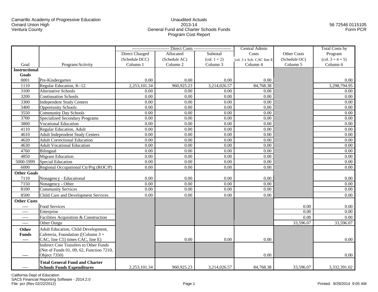## Unaudited Actuals2013-14 General Fund and Charter Schools FundsProgram Cost Report

## 56 72546 0115105Form PCR

|                          |                                               |                | ------------------------ Direct Costs ------------------------ |                                     | Central Admin              |                    | <b>Total Costs by</b>                 |
|--------------------------|-----------------------------------------------|----------------|----------------------------------------------------------------|-------------------------------------|----------------------------|--------------------|---------------------------------------|
|                          |                                               | Direct Charged | Allocated                                                      | Subtotal                            | Costs                      | <b>Other Costs</b> | Program                               |
|                          |                                               | (Schedule DCC) | (Schedule AC)                                                  | $\left( \text{col. } 1 + 2 \right)$ | (col. 3 x Sch. CAC line E) | (Schedule OC)      | $\left(\text{col. } 3 + 4 + 5\right)$ |
| Goal                     | Program/Activity                              | Column 1       | Column 2                                                       | Column 3                            | Column 4                   | Column 5           | Column 6                              |
| <b>Instructional</b>     |                                               |                |                                                                |                                     |                            |                    |                                       |
| Goals                    |                                               |                |                                                                |                                     |                            |                    |                                       |
| 0001                     | Pre-Kindergarten                              | 0.00           | 0.00                                                           | 0.00                                | 0.00                       |                    | $0.00\,$                              |
| 1110                     | Regular Education, K-12                       | 2,253,101.34   | 960,925.23                                                     | 3,214,026.57                        | 84,768.38                  |                    | 3,298,794.95                          |
| 3100                     | <b>Alternative Schools</b>                    | 0.00           | 0.00                                                           | 0.00                                | 0.00                       |                    | 0.00                                  |
| 3200                     | <b>Continuation Schools</b>                   | 0.00           | 0.00                                                           | 0.00                                | 0.00                       |                    | 0.00                                  |
| 3300                     | <b>Independent Study Centers</b>              | 0.00           | 0.00                                                           | 0.00                                | 0.00                       |                    | 0.00                                  |
| 3400                     | <b>Opportunity Schools</b>                    | 0.00           | 0.00                                                           | 0.00                                | 0.00                       |                    | 0.00                                  |
| 3550                     | <b>Community Day Schools</b>                  | 0.00           | 0.00                                                           | 0.00                                | 0.00                       |                    | 0.00                                  |
| 3700                     | <b>Specialized Secondary Programs</b>         | 0.00           | 0.00                                                           | 0.00                                | 0.00                       |                    | 0.00                                  |
| 3800                     | <b>Vocational Education</b>                   | 0.00           | 0.00                                                           | 0.00                                | 0.00                       |                    | 0.00                                  |
| 4110                     | <b>Regular Education, Adult</b>               | 0.00           | 0.00                                                           | 0.00                                | 0.00                       |                    | 0.00                                  |
| 4610                     | <b>Adult Independent Study Centers</b>        | 0.00           | 0.00                                                           | 0.00                                | 0.00                       |                    | 0.00                                  |
| 4620                     | <b>Adult Correctional Education</b>           | 0.00           | 0.00                                                           | 0.00                                | 0.00                       |                    | 0.00                                  |
| 4630                     | <b>Adult Vocational Education</b>             | 0.00           | 0.00                                                           | 0.00                                | 0.00                       |                    | 0.00                                  |
| 4760                     | Bilingual                                     | 0.00           | 0.00                                                           | 0.00                                | 0.00                       |                    | 0.00                                  |
| 4850                     | <b>Migrant Education</b>                      | 0.00           | 0.00                                                           | 0.00                                | 0.00                       |                    | 0.00                                  |
| 5000-5999                | <b>Special Education</b>                      | 0.00           | 0.00                                                           | 0.00                                | 0.00                       |                    | 0.00                                  |
| 6000                     | Regional Occupational Ctr/Prg (ROC/P)         | 0.00           | 0.00                                                           | 0.00                                | 0.00                       |                    | 0.00                                  |
| <b>Other Goals</b>       |                                               |                |                                                                |                                     |                            |                    |                                       |
| 7110                     | Nonagency - Educational                       | 0.00           | 0.00                                                           | 0.00                                | 0.00                       |                    | 0.00                                  |
| 7150                     | Nonagency - Other                             | 0.00           | 0.00                                                           | 0.00                                | 0.00                       |                    | 0.00                                  |
| 8100                     | <b>Community Services</b>                     | 0.00           | 0.00                                                           | 0.00                                | 0.00                       |                    | 0.00                                  |
| 8500                     | Child Care and Development Services           | 0.00           | 0.00                                                           | 0.00                                | 0.00                       |                    | 0.00                                  |
| <b>Other Costs</b>       |                                               |                |                                                                |                                     |                            |                    |                                       |
| $---$                    | Food Services                                 |                |                                                                |                                     |                            | 0.00               | $0.00\,$                              |
| ----                     | Enterprise                                    |                |                                                                |                                     |                            | 0.00               | 0.00                                  |
| ----                     | Facilities Acquisition & Construction         |                |                                                                |                                     |                            | 0.00               | $0.00\,$                              |
| $--- -$                  | Other Outgo                                   |                |                                                                |                                     |                            | 33,596.07          | 33,596.07                             |
| <b>Other</b>             | Adult Education, Child Development,           |                |                                                                |                                     |                            |                    |                                       |
| <b>Funds</b>             | Cafeteria, Foundation ([Column $3 +$          |                |                                                                |                                     |                            |                    |                                       |
| $\overline{\phantom{a}}$ | CAC, line C5] times CAC, line E)              |                | 0.00                                                           | 0.00                                | 0.00                       |                    | 0.00                                  |
|                          | <b>Indirect Cost Transfers to Other Funds</b> |                |                                                                |                                     |                            |                    |                                       |
|                          | (Net of Funds 01, 09, 62, Function 7210,      |                |                                                                |                                     |                            |                    |                                       |
| ----                     | Object 7350)                                  |                |                                                                |                                     | 0.00                       |                    | 0.00                                  |
|                          | <b>Total General Fund and Charter</b>         |                |                                                                |                                     |                            |                    |                                       |
| $---$                    | <b>Schools Funds Expenditures</b>             | 2,253,101.34   | 960,925.23                                                     | 3,214,026.57                        | 84,768.38                  | 33,596.07          | 3,332,391.02                          |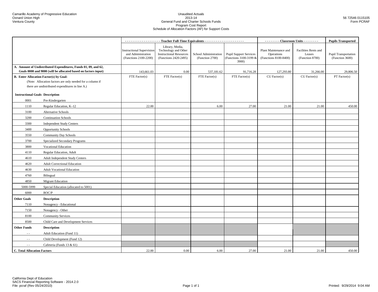#### Unaudited Actuals2013-14 General Fund and Charter Schools FundsProgram Cost Report Schedule of Allocation Factors (AF) for Support Costs

|                                                                                                                                  |                                       | ------------------- Teacher Full-Time Equivalents ---------------------         |                                                                                                    |                                          |                                                                  | - - - - - - - - Classroom Units - - - - - - - -              |                                                   | <b>Pupils Transported</b>                      |
|----------------------------------------------------------------------------------------------------------------------------------|---------------------------------------|---------------------------------------------------------------------------------|----------------------------------------------------------------------------------------------------|------------------------------------------|------------------------------------------------------------------|--------------------------------------------------------------|---------------------------------------------------|------------------------------------------------|
|                                                                                                                                  |                                       | <b>Instructional Supervision</b><br>and Administration<br>(Functions 2100-2200) | Library, Media,<br>Technology and Other<br><b>Instructional Resources</b><br>(Functions 2420-2495) | School Administration<br>(Function 2700) | <b>Pupil Support Services</b><br>(Functions 3100-3199 &<br>3900) | Plant Maintenance and<br>Operations<br>(Functions 8100-8400) | Facilities Rents and<br>Leases<br>(Function 8700) | <b>Pupil Transportation</b><br>(Function 3600) |
| A. Amount of Undistributed Expenditures, Funds 01, 09, and 62,<br>Goals 0000 and 9000 (will be allocated based on factors input) |                                       |                                                                                 |                                                                                                    |                                          |                                                                  |                                                              |                                                   |                                                |
| <b>B.</b> Enter Allocation Factor(s) by Goal:                                                                                    |                                       | 143,661.03<br>FTE Factor(s)                                                     | 0.00<br>FTE Factor(s)                                                                              | 537,181.62<br>FTE Factor(s)              | 91,716.28<br>FTE Factor(s)                                       | 127,293.80<br>CU Factor(s)                                   | 31,266.00<br>CU Factor(s)                         | 29,806.50<br>PT Factor(s)                      |
| (Note: Allocation factors are only needed for a column if                                                                        |                                       |                                                                                 |                                                                                                    |                                          |                                                                  |                                                              |                                                   |                                                |
| there are undistributed expenditures in line A.)                                                                                 |                                       |                                                                                 |                                                                                                    |                                          |                                                                  |                                                              |                                                   |                                                |
| <b>Instructional Goals Description</b>                                                                                           |                                       |                                                                                 |                                                                                                    |                                          |                                                                  |                                                              |                                                   |                                                |
| 0001                                                                                                                             | Pre-Kindergarten                      |                                                                                 |                                                                                                    |                                          |                                                                  |                                                              |                                                   |                                                |
| 1110                                                                                                                             | Regular Education, K-12               | 22.00                                                                           |                                                                                                    | 6.00                                     | 27.00                                                            | 21.00                                                        | 21.00                                             | 450.00                                         |
| 3100                                                                                                                             | Alternative Schools                   |                                                                                 |                                                                                                    |                                          |                                                                  |                                                              |                                                   |                                                |
| 3200                                                                                                                             | <b>Continuation Schools</b>           |                                                                                 |                                                                                                    |                                          |                                                                  |                                                              |                                                   |                                                |
| 3300                                                                                                                             | <b>Independent Study Centers</b>      |                                                                                 |                                                                                                    |                                          |                                                                  |                                                              |                                                   |                                                |
| 3400                                                                                                                             | <b>Opportunity Schools</b>            |                                                                                 |                                                                                                    |                                          |                                                                  |                                                              |                                                   |                                                |
| 3550                                                                                                                             | <b>Community Day Schools</b>          |                                                                                 |                                                                                                    |                                          |                                                                  |                                                              |                                                   |                                                |
| 3700                                                                                                                             | Specialized Secondary Programs        |                                                                                 |                                                                                                    |                                          |                                                                  |                                                              |                                                   |                                                |
| 3800                                                                                                                             | <b>Vocational Education</b>           |                                                                                 |                                                                                                    |                                          |                                                                  |                                                              |                                                   |                                                |
| 4110                                                                                                                             | Regular Education, Adult              |                                                                                 |                                                                                                    |                                          |                                                                  |                                                              |                                                   |                                                |
| 4610                                                                                                                             | Adult Independent Study Centers       |                                                                                 |                                                                                                    |                                          |                                                                  |                                                              |                                                   |                                                |
| 4620                                                                                                                             | <b>Adult Correctional Education</b>   |                                                                                 |                                                                                                    |                                          |                                                                  |                                                              |                                                   |                                                |
| 4630                                                                                                                             | <b>Adult Vocational Education</b>     |                                                                                 |                                                                                                    |                                          |                                                                  |                                                              |                                                   |                                                |
| 4760                                                                                                                             | Bilingual                             |                                                                                 |                                                                                                    |                                          |                                                                  |                                                              |                                                   |                                                |
| 4850                                                                                                                             | <b>Migrant Education</b>              |                                                                                 |                                                                                                    |                                          |                                                                  |                                                              |                                                   |                                                |
| 5000-5999                                                                                                                        | Special Education (allocated to 5001) |                                                                                 |                                                                                                    |                                          |                                                                  |                                                              |                                                   |                                                |
| 6000                                                                                                                             | ROC/P                                 |                                                                                 |                                                                                                    |                                          |                                                                  |                                                              |                                                   |                                                |
| <b>Other Goals</b>                                                                                                               | <b>Description</b>                    |                                                                                 |                                                                                                    |                                          |                                                                  |                                                              |                                                   |                                                |
| 7110                                                                                                                             | Nonagency - Educational               |                                                                                 |                                                                                                    |                                          |                                                                  |                                                              |                                                   |                                                |
| 7150                                                                                                                             | Nonagency - Other                     |                                                                                 |                                                                                                    |                                          |                                                                  |                                                              |                                                   |                                                |
| 8100                                                                                                                             | <b>Community Services</b>             |                                                                                 |                                                                                                    |                                          |                                                                  |                                                              |                                                   |                                                |
| 8500                                                                                                                             | Child Care and Development Services   |                                                                                 |                                                                                                    |                                          |                                                                  |                                                              |                                                   |                                                |
| <b>Other Funds</b>                                                                                                               | <b>Description</b>                    |                                                                                 |                                                                                                    |                                          |                                                                  |                                                              |                                                   |                                                |
| $\sim$ $\sim$                                                                                                                    | Adult Education (Fund 11)             |                                                                                 |                                                                                                    |                                          |                                                                  |                                                              |                                                   |                                                |
| $\sim$ $\sim$                                                                                                                    | Child Development (Fund 12)           |                                                                                 |                                                                                                    |                                          |                                                                  |                                                              |                                                   |                                                |
| $\sim$ $\sim$                                                                                                                    | Cafeteria (Funds 13 & 61)             |                                                                                 |                                                                                                    |                                          |                                                                  |                                                              |                                                   |                                                |
| <b>C. Total Allocation Factors</b>                                                                                               |                                       | 22.00                                                                           | 0.00                                                                                               | 6.00                                     | 27.00                                                            | 21.00                                                        | 21.00                                             | 450.00                                         |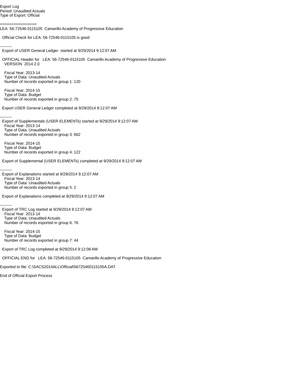Export Log Period: Unaudited Actuals Type of Export: Official

================

LEA: 56-72546-0115105 Camarillo Academy of Progressive Education

Official Check for LEA: 56-72546-0115105 is good

--------- Export of USER General Ledger started at 9/29/2014 9:12:07 AM

 OFFICIAL Header for LEA: 56-72546-0115105 Camarillo Academy of Progressive Education VERSION 2014.2.0

 Fiscal Year: 2013-14 Type of Data: Unaudited Actuals Number of records exported in group 1: 120

 Fiscal Year: 2014-15 Type of Data: Budget Number of records exported in group 2: 75

Export USER General Ledger completed at 9/29/2014 9:12:07 AM

--------- Export of Supplementals (USER ELEMENTs) started at 9/29/2014 9:12:07 AM Fiscal Year: 2013-14 Type of Data: Unaudited Actuals Number of records exported in group 3: 662

 Fiscal Year: 2014-15 Type of Data: Budget Number of records exported in group 4: 122

Export of Supplemental (USER ELEMENTs) completed at 9/29/2014 9:12:07 AM

--------- Export of Explanations started at 9/29/2014 9:12:07 AM Fiscal Year: 2013-14 Type of Data: Unaudited Actuals Number of records exported in group 5: 2

Export of Explanations completed at 9/29/2014 9:12:07 AM

--------- Export of TRC Log started at 9/29/2014 9:12:07 AM Fiscal Year: 2013-14 Type of Data: Unaudited Actuals Number of records exported in group 6: 76

 Fiscal Year: 2014-15 Type of Data: Budget Number of records exported in group 7: 44

Export of TRC Log completed at 9/29/2014 9:12:08 AM

OFFICIAL END for LEA: 56-72546-0115105 Camarillo Academy of Progressive Education

Exported to file: C:\SACS2014ALL\Official\56725460115105A.DAT

End of Official Export Process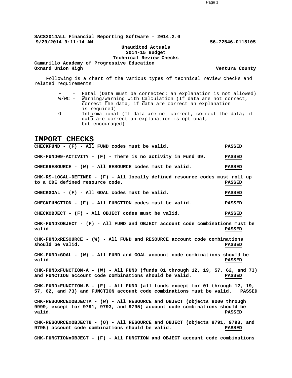**SACS2014ALL Financial Reporting Software - 2014.2.0 9/29/2014 9:11:14 AM 56-72546-0115105**

#### **Unaudited Actuals 2014-15 Budget Technical Review Checks**

**Camarillo Academy of Progressive Education Oxnard Union High Ventura County** 

Following is a chart of the various types of technical review checks and related requirements:

#### F - Fatal (Data must be corrected; an explanation is not allowed) W/WC - Warning/Warning with Calculation (If data are not correct, correct the data; if data are correct an explanation is required)

O - Informational (If data are not correct, correct the data; if data are correct an explanation is optional, but encouraged)

## **IMPORT CHECKS**

**CHECKFUND - (F) - All FUND codes must be valid. PASSED CHK-FUND09-ACTIVITY - (F) - There is no activity in Fund 09. PASSED CHECKRESOURCE - (W) - All RESOURCE codes must be valid. PASSED CHK-RS-LOCAL-DEFINED - (F) - All locally defined resource codes must roll up to a CDE defined resource code. PASSED CHECKGOAL - (F) - All GOAL codes must be valid. PASSED CHECKFUNCTION - (F) - All FUNCTION codes must be valid. PASSED CHECKOBJECT - (F) - All OBJECT codes must be valid. PASSED CHK-FUNDxOBJECT - (F) - All FUND and OBJECT account code combinations must be valid. PASSED CHK-FUNDxRESOURCE - (W) - All FUND and RESOURCE account code combinations should be valid. PASSED CHK-FUNDxGOAL - (W) - All FUND and GOAL account code combinations should be valid. PASSED CHK-FUNDxFUNCTION-A - (W) - All FUND (funds 01 through 12, 19, 57, 62, and 73) and FUNCTION account code combinations should be valid. PASSED CHK-FUNDxFUNCTION-B - (F) - All FUND (all funds except for 01 through 12, 19, 57, 62, and 73) and FUNCTION account code combinations must be valid. PASSED CHK-RESOURCExOBJECTA - (W) - All RESOURCE and OBJECT (objects 8000 through 9999, except for 9791, 9793, and 9795) account code combinations should be valid. PASSED CHK-RESOURCExOBJECTB - (O) - All RESOURCE and OBJECT (objects 9791, 9793, and 9795) account code combinations should be valid. PASSED CHK-FUNCTIONxOBJECT - (F) - All FUNCTION and OBJECT account code combinations**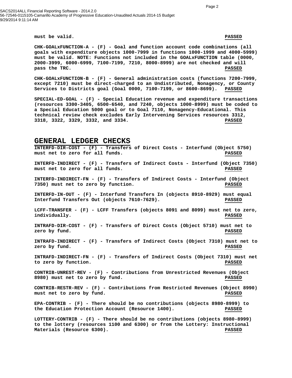SACS2014ALL Financial Reporting Software - 2014.2.0 56-72546-0115105-Camarillo Academy of Progressive Education-Unaudited Actuals 2014-15 Budget 9/29/2014 9:11:14 AM

**must be valid. PASSED**

**CHK-GOALxFUNCTION-A - (F) - Goal and function account code combinations (all goals with expenditure objects 1000-7999 in functions 1000-1999 and 4000-5999) must be valid. NOTE: Functions not included in the GOALxFUNCTION table (0000, 2000-3999, 6000-6999, 7100-7199, 7210, 8000-8999) are not checked and will pass the TRC. PASSED**

**CHK-GOALxFUNCTION-B - (F) - General administration costs (functions 7200-7999, except 7210) must be direct-charged to an Undistributed, Nonagency, or County Services to Districts goal (Goal 0000, 7100-7199, or 8600-8699). PASSED**

**SPECIAL-ED-GOAL - (F) - Special Education revenue and expenditure transactions (resources 3300-3405, 6500-6540, and 7240, objects 1000-8999) must be coded to a Special Education 5000 goal or to Goal 7110, Nonagency-Educational. This technical review check excludes Early Intervening Services resources 3312, 3318, 3322, 3329, 3332, and 3334. PASSED**

## **GENERAL LEDGER CHECKS**

**INTERFD-DIR-COST - (F) - Transfers of Direct Costs - Interfund (Object 5750) must net to zero for all funds. PASSED INTERFD-INDIRECT - (F) - Transfers of Indirect Costs - Interfund (Object 7350) must net to zero for all funds. PASSED INTERFD-INDIRECT-FN - (F) - Transfers of Indirect Costs - Interfund (Object 7350) must net to zero by function. PASSED INTERFD-IN-OUT - (F) - Interfund Transfers In (objects 8910-8929) must equal Interfund Transfers Out (objects 7610-7629). PASSED LCFF-TRANSFER - (F) - LCFF Transfers (objects 8091 and 8099) must net to zero, individually. PASSED INTRAFD-DIR-COST - (F) - Transfers of Direct Costs (Object 5710) must net to zero by fund. PASSED INTRAFD-INDIRECT - (F) - Transfers of Indirect Costs (Object 7310) must net to zero by fund. PASSED INTRAFD-INDIRECT-FN - (F) - Transfers of Indirect Costs (Object 7310) must net to zero by function. PASSED CONTRIB-UNREST-REV - (F) - Contributions from Unrestricted Revenues (Object 8980) must net to zero by fund. PASSED CONTRIB-RESTR-REV - (F) - Contributions from Restricted Revenues (Object 8990) must net to zero by fund. PASSED EPA-CONTRIB - (F) - There should be no contributions (objects 8980-8999) to the Education Protection Account (Resource 1400). PASSED LOTTERY-CONTRIB - (F) - There should be no contributions (objects 8980-8999) to the lottery (resources 1100 and 6300) or from the Lottery: Instructional Materials (Resource 6300). PASSED**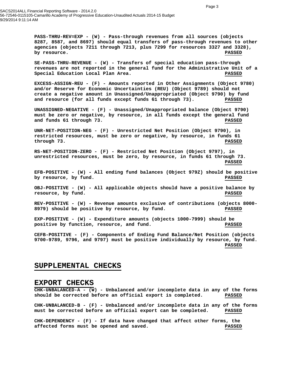SACS2014ALL Financial Reporting Software - 2014.2.0 56-72546-0115105-Camarillo Academy of Progressive Education-Unaudited Actuals 2014-15 Budget 9/29/2014 9:11:14 AM

> **PASS-THRU-REV=EXP - (W) - Pass-through revenues from all sources (objects 8287, 8587, and 8697) should equal transfers of pass-through revenues to other agencies (objects 7211 through 7213, plus 7299 for resources 3327 and 3328), by resource. PASSED**

> **SE-PASS-THRU-REVENUE - (W) - Transfers of special education pass-through revenues are not reported in the general fund for the Administrative Unit of a Special Education Local Plan Area. PASSED**

**EXCESS-ASSIGN-REU - (F) - Amounts reported in Other Assignments (Object 9780) and/or Reserve for Economic Uncertainties (REU) (Object 9789) should not create a negative amount in Unassigned/Unappropriated (Object 9790) by fund and resource (for all funds except funds 61 through 73). PASSED**

**UNASSIGNED-NEGATIVE - (F) - Unassigned/Unappropriated balance (Object 9790) must be zero or negative, by resource, in all funds except the general fund and funds 61 through 73. PASSED**

**UNR-NET-POSITION-NEG - (F) - Unrestricted Net Position (Object 9790), in restricted resources, must be zero or negative, by resource, in funds 61 through 73. PASSED**

**RS-NET-POSITION-ZERO - (F) - Restricted Net Position (Object 9797), in unrestricted resources, must be zero, by resource, in funds 61 through 73. PASSED**

**EFB-POSITIVE - (W) - All ending fund balances (Object 979Z) should be positive by resource, by fund. PASSED**

**OBJ-POSITIVE - (W) - All applicable objects should have a positive balance by resource, by fund. PASSED**

**REV-POSITIVE - (W) - Revenue amounts exclusive of contributions (objects 8000- 8979) should be positive by resource, by fund. PASSED**

**EXP-POSITIVE - (W) - Expenditure amounts (objects 1000-7999) should be positive by function, resource, and fund. PASSED**

**CEFB-POSITIVE - (F) - Components of Ending Fund Balance/Net Position (objects 9700-9789, 9796, and 9797) must be positive individually by resource, by fund. PASSED**

## **SUPPLEMENTAL CHECKS**

#### **EXPORT CHECKS**

**CHK-UNBALANCED-A - (W) - Unbalanced and/or incomplete data in any of the forms should be corrected before an official export is completed. PASSED**

**CHK-UNBALANCED-B - (F) - Unbalanced and/or incomplete data in any of the forms must be corrected before an official export can be completed. PASSED**

**CHK-DEPENDENCY - (F) - If data have changed that affect other forms, the affected forms must be opened and saved. PASSED**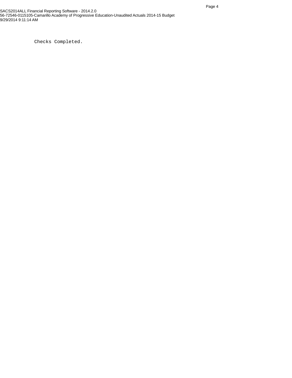Checks Completed.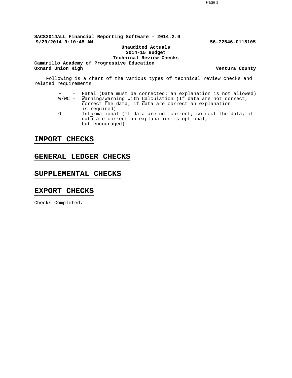**SACS2014ALL Financial Reporting Software - 2014.2.0 9/29/2014 9:10:45 AM 56-72546-0115105**

### **Unaudited Actuals 2014-15 Budget**

**Technical Review Checks**

**Camarillo Academy of Progressive Education Oxnard Union High Ventura County** 

Following is a chart of the various types of technical review checks and related requirements:

- F Fatal (Data must be corrected; an explanation is not allowed) W/WC - Warning/Warning with Calculation (If data are not correct, correct the data; if data are correct an explanation is required)
- O Informational (If data are not correct, correct the data; if data are correct an explanation is optional, but encouraged)

## **IMPORT CHECKS**

## **GENERAL LEDGER CHECKS**

## **SUPPLEMENTAL CHECKS**

## **EXPORT CHECKS**

Checks Completed.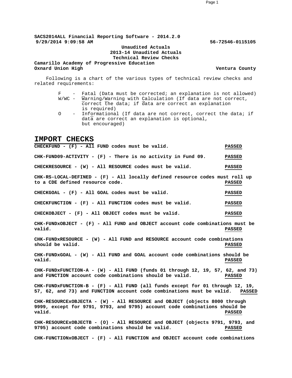**SACS2014ALL Financial Reporting Software - 2014.2.0 9/29/2014 9:09:58 AM 56-72546-0115105**

> **Unaudited Actuals 2013-14 Unaudited Actuals Technical Review Checks**

**Camarillo Academy of Progressive Education Oxnard Union High Ventura County** 

Following is a chart of the various types of technical review checks and related requirements:

#### F - Fatal (Data must be corrected; an explanation is not allowed) W/WC - Warning/Warning with Calculation (If data are not correct, correct the data; if data are correct an explanation is required)

O - Informational (If data are not correct, correct the data; if data are correct an explanation is optional, but encouraged)

## **IMPORT CHECKS**

**CHECKFUND - (F) - All FUND codes must be valid. PASSED CHK-FUND09-ACTIVITY - (F) - There is no activity in Fund 09. PASSED CHECKRESOURCE - (W) - All RESOURCE codes must be valid. PASSED CHK-RS-LOCAL-DEFINED - (F) - All locally defined resource codes must roll up to a CDE defined resource code. PASSED CHECKGOAL - (F) - All GOAL codes must be valid. PASSED CHECKFUNCTION - (F) - All FUNCTION codes must be valid. PASSED CHECKOBJECT - (F) - All OBJECT codes must be valid. PASSED CHK-FUNDxOBJECT - (F) - All FUND and OBJECT account code combinations must be valid. PASSED CHK-FUNDxRESOURCE - (W) - All FUND and RESOURCE account code combinations should be valid. PASSED CHK-FUNDxGOAL - (W) - All FUND and GOAL account code combinations should be valid. PASSED CHK-FUNDxFUNCTION-A - (W) - All FUND (funds 01 through 12, 19, 57, 62, and 73) and FUNCTION account code combinations should be valid. PASSED CHK-FUNDxFUNCTION-B - (F) - All FUND (all funds except for 01 through 12, 19, 57, 62, and 73) and FUNCTION account code combinations must be valid. PASSED CHK-RESOURCExOBJECTA - (W) - All RESOURCE and OBJECT (objects 8000 through 9999, except for 9791, 9793, and 9795) account code combinations should be valid. PASSED CHK-RESOURCExOBJECTB - (O) - All RESOURCE and OBJECT (objects 9791, 9793, and 9795) account code combinations should be valid. PASSED CHK-FUNCTIONxOBJECT - (F) - All FUNCTION and OBJECT account code combinations**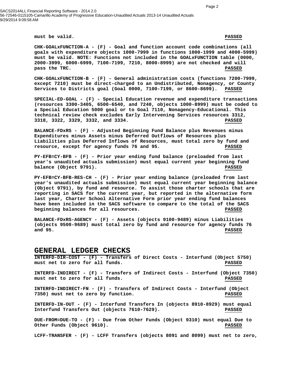SACS2014ALL Financial Reporting Software - 2014.2.0 56-72546-0115105-Camarillo Academy of Progressive Education-Unaudited Actuals 2013-14 Unaudited Actuals 9/29/2014 9:09:58 AM

**must be valid. PASSED**

**CHK-GOALxFUNCTION-A - (F) - Goal and function account code combinations (all goals with expenditure objects 1000-7999 in functions 1000-1999 and 4000-5999) must be valid. NOTE: Functions not included in the GOALxFUNCTION table (0000, 2000-3999, 6000-6999, 7100-7199, 7210, 8000-8999) are not checked and will pass the TRC. PASSED**

**CHK-GOALxFUNCTION-B - (F) - General administration costs (functions 7200-7999, except 7210) must be direct-charged to an Undistributed, Nonagency, or County Services to Districts goal (Goal 0000, 7100-7199, or 8600-8699). PASSED**

**SPECIAL-ED-GOAL - (F) - Special Education revenue and expenditure transactions (resources 3300-3405, 6500-6540, and 7240, objects 1000-8999) must be coded to a Special Education 5000 goal or to Goal 7110, Nonagency-Educational. This technical review check excludes Early Intervening Services resources 3312, 3318, 3322, 3329, 3332, and 3334. PASSED**

**BALANCE-FDxRS - (F) - Adjusted Beginning Fund Balance plus Revenues minus Expenditures minus Assets minus Deferred Outflows of Resources plus Liabilities plus Deferred Inflows of Resources, must total zero by fund and resource, except for agency funds 76 and 95. PASSED**

**PY-EFB=CY-BFB - (F) - Prior year ending fund balance (preloaded from last year's unaudited actuals submission) must equal current year beginning fund balance (Object 9791). PASSED**

**PY-EFB=CY-BFB-RES-CH - (F) - Prior year ending balance (preloaded from last year's unaudited actuals submission) must equal current year beginning balance (Object 9791), by fund and resource. To assist those charter schools that are reporting in SACS for the current year, but reported in the alternative form last year, Charter School Alternative Form prior year ending fund balances have been included in the SACS software to compare to the total of the SACS beginning balances for all resources. PASSED**

**BALANCE-FDxRS-AGENCY - (F) - Assets (objects 9100-9489) minus Liabilities (objects 9500-9689) must total zero by fund and resource for agency funds 76 and 95. PASSED**

### **GENERAL LEDGER CHECKS**

**INTERFD-DIR-COST - (F) - Transfers of Direct Costs - Interfund (Object 5750) must net to zero for all funds. PASSED INTERFD-INDIRECT - (F) - Transfers of Indirect Costs - Interfund (Object 7350) must net to zero for all funds. PASSED INTERFD-INDIRECT-FN - (F) - Transfers of Indirect Costs - Interfund (Object 7350) must net to zero by function. PASSED INTERFD-IN-OUT - (F) - Interfund Transfers In (objects 8910-8929) must equal Interfund Transfers Out (objects 7610-7629). PASSED DUE-FROM=DUE-TO - (F) - Due from Other Funds (Object 9310) must equal Due to Other Funds (Object 9610). PASSED**

**LCFF-TRANSFER - (F) - LCFF Transfers (objects 8091 and 8099) must net to zero,**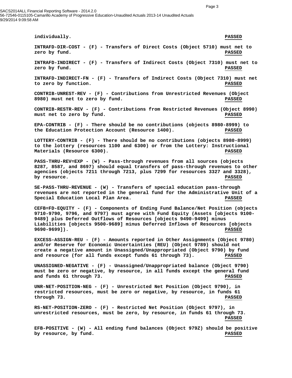SACS2014ALL Financial Reporting Software - 2014.2.0 56-72546-0115105-Camarillo Academy of Progressive Education-Unaudited Actuals 2013-14 Unaudited Actuals 9/29/2014 9:09:58 AM

> **individually. PASSED INTRAFD-DIR-COST - (F) - Transfers of Direct Costs (Object 5710) must net to zero by fund. PASSED INTRAFD-INDIRECT - (F) - Transfers of Indirect Costs (Object 7310) must net to zero by fund. PASSED INTRAFD-INDIRECT-FN - (F) - Transfers of Indirect Costs (Object 7310) must net to zero by function. PASSED CONTRIB-UNREST-REV - (F) - Contributions from Unrestricted Revenues (Object 8980) must net to zero by fund. PASSED CONTRIB-RESTR-REV - (F) - Contributions from Restricted Revenues (Object 8990) must net to zero by fund. PASSED EPA-CONTRIB - (F) - There should be no contributions (objects 8980-8999) to the Education Protection Account (Resource 1400). PASSED LOTTERY-CONTRIB - (F) - There should be no contributions (objects 8980-8999) to the lottery (resources 1100 and 6300) or from the Lottery: Instructional Materials (Resource 6300). PASSED PASS-THRU-REV=EXP - (W) - Pass-through revenues from all sources (objects 8287, 8587, and 8697) should equal transfers of pass-through revenues to other agencies (objects 7211 through 7213, plus 7299 for resources 3327 and 3328), by resource. PASSED SE-PASS-THRU-REVENUE - (W) - Transfers of special education pass-through revenues are not reported in the general fund for the Administrative Unit of a Special Education Local Plan Area. PASSED CEFB=FD-EQUITY - (F) - Components of Ending Fund Balance/Net Position (objects 9710-9790, 9796, and 9797) must agree with Fund Equity (Assets [objects 9100- 9489] plus Deferred Outflows of Resources [objects 9490-9499] minus Liabilities [objects 9500-9689] minus Deferred Inflows of Resources [objects 9690-9699]). PASSED EXCESS-ASSIGN-REU - (F) - Amounts reported in Other Assignments (Object 9780) and/or Reserve for Economic Uncertainties (REU) (Object 9789) should not create a negative amount in Unassigned/Unappropriated (Object 9790) by fund and resource (for all funds except funds 61 through 73). PASSED UNASSIGNED-NEGATIVE - (F) - Unassigned/Unappropriated balance (Object 9790) must be zero or negative, by resource, in all funds except the general fund and funds 61 through 73. PASSED UNR-NET-POSITION-NEG - (F) - Unrestricted Net Position (Object 9790), in restricted resources, must be zero or negative, by resource, in funds 61 through 73. PASSED RS-NET-POSITION-ZERO - (F) - Restricted Net Position (Object 9797), in unrestricted resources, must be zero, by resource, in funds 61 through 73. PASSED EFB-POSITIVE - (W) - All ending fund balances (Object 979Z) should be positive**

**by resource, by fund. PASSED**

Page 3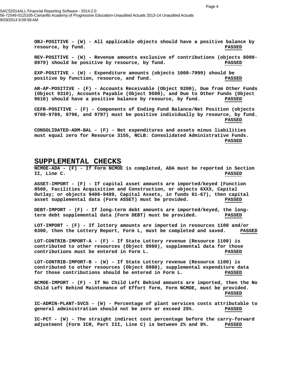**OBJ-POSITIVE - (W) - All applicable objects should have a positive balance by resource, by fund. PASSED**

**REV-POSITIVE - (W) - Revenue amounts exclusive of contributions (objects 8000- 8979) should be positive by resource, by fund. PASSED**

**EXP-POSITIVE - (W) - Expenditure amounts (objects 1000-7999) should be positive by function, resource, and fund. PASSED**

**AR-AP-POSITIVE - (F) - Accounts Receivable (Object 9200), Due from Other Funds (Object 9310), Accounts Payable (Object 9500), and Due to Other Funds (Object 9610) should have a positive balance by resource, by fund. PASSED**

**CEFB-POSITIVE - (F) - Components of Ending Fund Balance/Net Position (objects 9700-9789, 9796, and 9797) must be positive individually by resource, by fund. PASSED**

**CONSOLIDATED-ADM-BAL - (F) - Net expenditures and assets minus liabilities must equal zero for Resource 3155, NCLB: Consolidated Administrative Funds. PASSED**

#### **SUPPLEMENTAL CHECKS**

**NCMOE-ADA - (F) - If Form NCMOE is completed, ADA must be reported in Section II, Line C. PASSED**

**ASSET-IMPORT - (F) - If capital asset amounts are imported/keyed (Function 8500, Facilities Acquisition and Construction, or objects 6XXX, Capital Outlay; or objects 9400-9489, Capital Assets, in funds 61-67), then capital asset supplemental data (Form ASSET) must be provided. PASSED**

**DEBT-IMPORT - (F) - If long-term debt amounts are imported/keyed, the longterm debt supplemental data (Form DEBT) must be provided. PASSED**

**LOT-IMPORT - (F) - If lottery amounts are imported in resources 1100 and/or 6300, then the Lottery Report, Form L, must be completed and saved. PASSED**

**LOT-CONTRIB-IMPORT-A - (F) - If State Lottery revenue (Resource 1100) is contributed to other resources (Object 8980), supplemental data for those contributions must be entered in Form L. PASSED**

**LOT-CONTRIB-IMPORT-B - (W) - If State Lottery revenue (Resource 1100) is contributed to other resources (Object 8980), supplemental expenditure data for those contributions should be entered in Form L. PASSED**

**NCMOE-IMPORT - (F) - If No Child Left Behind amounts are imported, then the No Child Left Behind Maintenance of Effort form, Form NCMOE, must be provided. PASSED**

**IC-ADMIN-PLANT-SVCS - (W) - Percentage of plant services costs attributable to general administration should not be zero or exceed 25%. PASSED**

**IC-PCT - (W) - The straight indirect cost percentage before the carry-forward adjustment (Form ICR, Part III, Line C) is between 2% and 9%. PASSED**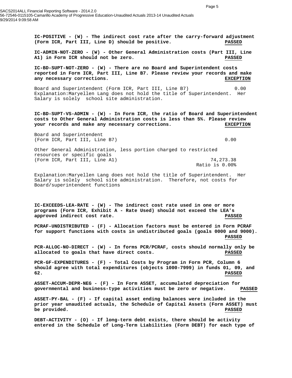**IC-POSITIVE - (W) - The indirect cost rate after the carry-forward adjustment (Form ICR, Part III, Line D) should be positive. PASSED**

**IC-ADMIN-NOT-ZERO - (W) - Other General Administration costs (Part III, Line A1) in Form ICR should not be zero. PASSED**

**IC-BD-SUPT-NOT-ZERO - (W) - There are no Board and Superintendent costs reported in Form ICR, Part III, Line B7. Please review your records and make any necessary corrections. EXCEPTION**

Board and Superintendent (Form ICR, Part III, Line B7) 0.00 Explanation:Maryellen Lang does not hold the title of Superintendent. Her Salary is solely school site administration.

**IC-BD-SUPT-VS-ADMIN - (W) - In Form ICR, the ratio of Board and Superintendent costs to Other General Administration costs is less than 5%. Please review your records and make any necessary corrections. EXCEPTION**

Board and Superintendent (Form ICR, Part III, Line B7) 0.00

Other General Administration, less portion charged to restricted resources or specific goals

(Form ICR, Part III, Line A1) 74,273.38 Ratio is 0.00%

Explanation:Maryellen Lang does not hold the title of Superintendent. Her Salary is solely school site administration. Therefore, not costs for Board/superintendent functions

**IC-EXCEEDS-LEA-RATE - (W) - The indirect cost rate used in one or more programs (Form ICR, Exhibit A - Rate Used) should not exceed the LEA's approved indirect cost rate. PASSED**

**PCRAF-UNDISTRIBUTED - (F) - Allocation factors must be entered in Form PCRAF for support functions with costs in undistributed goals (goals 0000 and 9000). PASSED**

**PCR-ALLOC-NO-DIRECT - (W) - In forms PCR/PCRAF, costs should normally only be allocated to goals that have direct costs. PASSED**

**PCR-GF-EXPENDITURES - (F) - Total Costs by Program in Form PCR, Column 6 should agree with total expenditures (objects 1000-7999) in funds 01, 09, and 62. PASSED**

**ASSET-ACCUM-DEPR-NEG - (F) - In Form ASSET, accumulated depreciation for governmental and business-type activities must be zero or negative. PASSED**

**ASSET-PY-BAL - (F) - If capital asset ending balances were included in the prior year unaudited actuals, the Schedule of Capital Assets (Form ASSET) must be provided. PASSED**

**DEBT-ACTIVITY - (O) - If long-term debt exists, there should be activity entered in the Schedule of Long-Term Liabilities (Form DEBT) for each type of**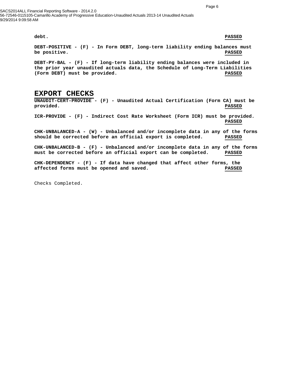SACS2014ALL Financial Reporting Software - 2014.2.0 56-72546-0115105-Camarillo Academy of Progressive Education-Unaudited Actuals 2013-14 Unaudited Actuals 9/29/2014 9:09:58 AM

#### **debt. PASSED**

**DEBT-POSITIVE - (F) - In Form DEBT, long-term liability ending balances must be positive. PASSED**

**DEBT-PY-BAL - (F) - If long-term liability ending balances were included in the prior year unaudited actuals data, the Schedule of Long-Term Liabilities (Form DEBT) must be provided. PASSED**

### **EXPORT CHECKS**

**UNAUDIT-CERT-PROVIDE - (F) - Unaudited Actual Certification (Form CA) must be provided. PASSED**

- **ICR-PROVIDE (F) Indirect Cost Rate Worksheet (Form ICR) must be provided. PASSED**
- **CHK-UNBALANCED-A (W) Unbalanced and/or incomplete data in any of the forms should be corrected before an official export is completed. PASSED**

**CHK-UNBALANCED-B - (F) - Unbalanced and/or incomplete data in any of the forms must be corrected before an official export can be completed. PASSED**

**CHK-DEPENDENCY - (F) - If data have changed that affect other forms, the affected forms must be opened and saved. PASSED**

Checks Completed.